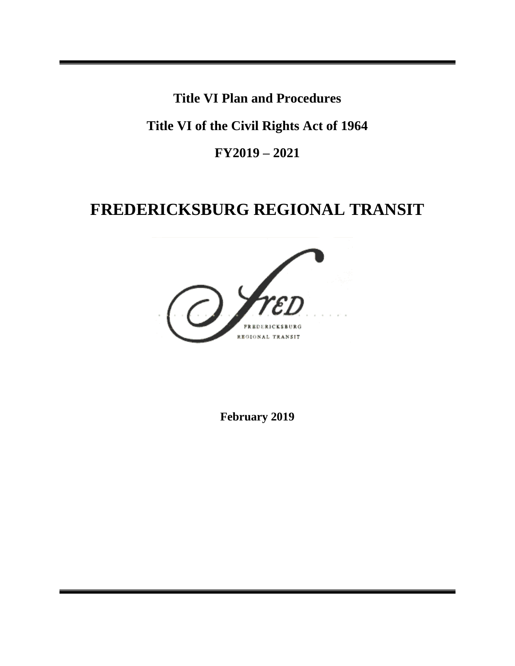**Title VI Plan and Procedures**

**Title VI of the Civil Rights Act of 1964**

**FY2019 – 2021**

# **FREDERICKSBURG REGIONAL TRANSIT**



**February 2019**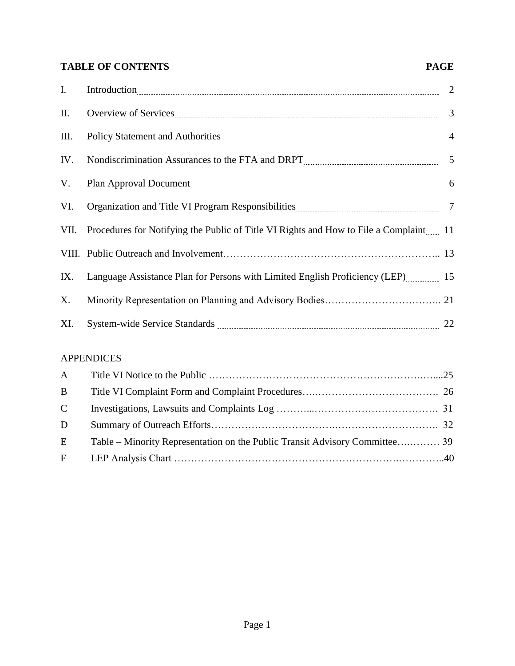## **TABLE OF CONTENTS PAGE**

| I.   |                                                                                                                                                                                                                                |  |
|------|--------------------------------------------------------------------------------------------------------------------------------------------------------------------------------------------------------------------------------|--|
| II.  |                                                                                                                                                                                                                                |  |
| III. | Policy Statement and Authorities [11] March 2016 12: 2016 12: 2016 12: 2016 12: 2016 12: 2016 12: 2016 12: 2016 12: 2016 12: 2016 12: 2016 12: 2016 12: 2016 12: 2016 12: 2016 12: 2016 12: 2016 12: 2016 12: 2016 12: 2016 12 |  |
| IV.  |                                                                                                                                                                                                                                |  |
| V.   |                                                                                                                                                                                                                                |  |
| VI.  |                                                                                                                                                                                                                                |  |
|      | VII. Procedures for Notifying the Public of Title VI Rights and How to File a Complaint 11                                                                                                                                     |  |
|      |                                                                                                                                                                                                                                |  |
| IX.  | Language Assistance Plan for Persons with Limited English Proficiency (LEP) 15                                                                                                                                                 |  |
| X.   |                                                                                                                                                                                                                                |  |
| XI.  |                                                                                                                                                                                                                                |  |

## APPENDICES

| B           |  |
|-------------|--|
| $\mathbf C$ |  |
| D           |  |
| E           |  |
| $F -$       |  |
|             |  |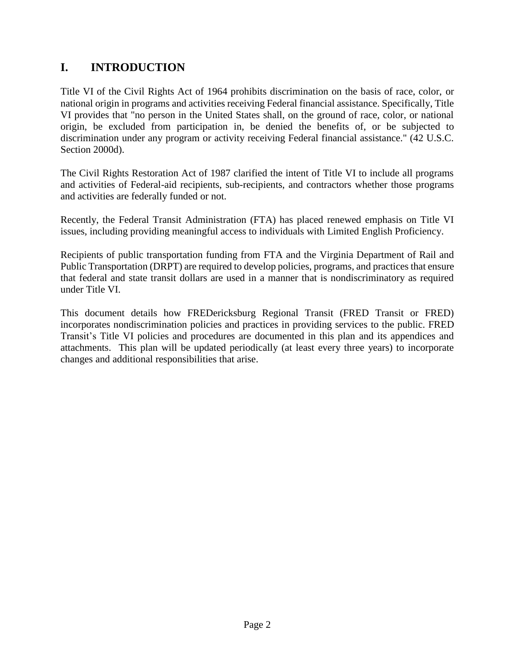# **I. INTRODUCTION**

Title VI of the Civil Rights Act of 1964 prohibits discrimination on the basis of race, color, or national origin in programs and activities receiving Federal financial assistance. Specifically, Title VI provides that "no person in the United States shall, on the ground of race, color, or national origin, be excluded from participation in, be denied the benefits of, or be subjected to discrimination under any program or activity receiving Federal financial assistance." (42 U.S.C. Section 2000d).

The Civil Rights Restoration Act of 1987 clarified the intent of Title VI to include all programs and activities of Federal-aid recipients, sub-recipients, and contractors whether those programs and activities are federally funded or not.

Recently, the Federal Transit Administration (FTA) has placed renewed emphasis on Title VI issues, including providing meaningful access to individuals with Limited English Proficiency.

Recipients of public transportation funding from FTA and the Virginia Department of Rail and Public Transportation (DRPT) are required to develop policies, programs, and practices that ensure that federal and state transit dollars are used in a manner that is nondiscriminatory as required under Title VI.

This document details how FREDericksburg Regional Transit (FRED Transit or FRED) incorporates nondiscrimination policies and practices in providing services to the public. FRED Transit's Title VI policies and procedures are documented in this plan and its appendices and attachments. This plan will be updated periodically (at least every three years) to incorporate changes and additional responsibilities that arise.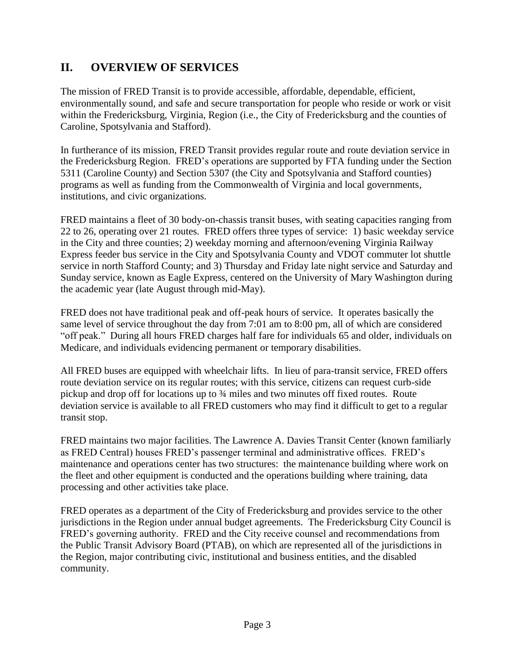# **II. OVERVIEW OF SERVICES**

The mission of FRED Transit is to provide accessible, affordable, dependable, efficient, environmentally sound, and safe and secure transportation for people who reside or work or visit within the Fredericksburg, Virginia, Region (i.e., the City of Fredericksburg and the counties of Caroline, Spotsylvania and Stafford).

In furtherance of its mission, FRED Transit provides regular route and route deviation service in the Fredericksburg Region. FRED's operations are supported by FTA funding under the Section 5311 (Caroline County) and Section 5307 (the City and Spotsylvania and Stafford counties) programs as well as funding from the Commonwealth of Virginia and local governments, institutions, and civic organizations.

FRED maintains a fleet of 30 body-on-chassis transit buses, with seating capacities ranging from 22 to 26, operating over 21 routes. FRED offers three types of service: 1) basic weekday service in the City and three counties; 2) weekday morning and afternoon/evening Virginia Railway Express feeder bus service in the City and Spotsylvania County and VDOT commuter lot shuttle service in north Stafford County; and 3) Thursday and Friday late night service and Saturday and Sunday service, known as Eagle Express, centered on the University of Mary Washington during the academic year (late August through mid-May).

FRED does not have traditional peak and off-peak hours of service. It operates basically the same level of service throughout the day from 7:01 am to 8:00 pm, all of which are considered "off peak." During all hours FRED charges half fare for individuals 65 and older, individuals on Medicare, and individuals evidencing permanent or temporary disabilities.

All FRED buses are equipped with wheelchair lifts. In lieu of para-transit service, FRED offers route deviation service on its regular routes; with this service, citizens can request curb-side pickup and drop off for locations up to ¾ miles and two minutes off fixed routes. Route deviation service is available to all FRED customers who may find it difficult to get to a regular transit stop.

FRED maintains two major facilities. The Lawrence A. Davies Transit Center (known familiarly as FRED Central) houses FRED's passenger terminal and administrative offices. FRED's maintenance and operations center has two structures: the maintenance building where work on the fleet and other equipment is conducted and the operations building where training, data processing and other activities take place.

FRED operates as a department of the City of Fredericksburg and provides service to the other jurisdictions in the Region under annual budget agreements. The Fredericksburg City Council is FRED's governing authority. FRED and the City receive counsel and recommendations from the Public Transit Advisory Board (PTAB), on which are represented all of the jurisdictions in the Region, major contributing civic, institutional and business entities, and the disabled community.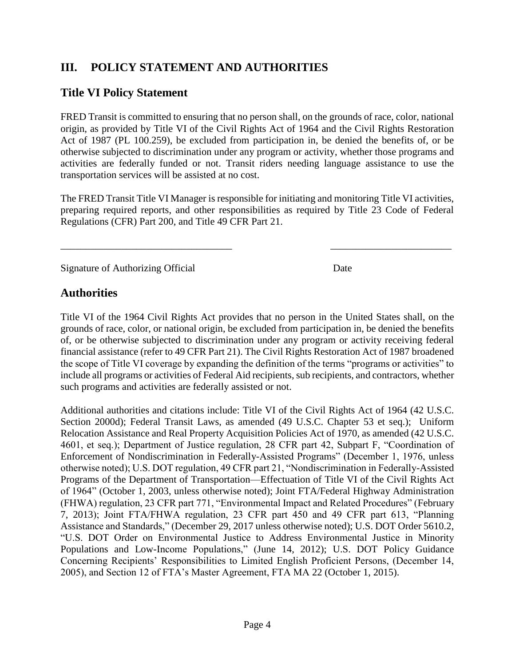# **III. POLICY STATEMENT AND AUTHORITIES**

## **Title VI Policy Statement**

FRED Transit is committed to ensuring that no person shall, on the grounds of race, color, national origin, as provided by Title VI of the Civil Rights Act of 1964 and the Civil Rights Restoration Act of 1987 (PL 100.259), be excluded from participation in, be denied the benefits of, or be otherwise subjected to discrimination under any program or activity, whether those programs and activities are federally funded or not. Transit riders needing language assistance to use the transportation services will be assisted at no cost.

The FRED Transit Title VI Manager is responsible for initiating and monitoring Title VI activities, preparing required reports, and other responsibilities as required by Title 23 Code of Federal Regulations (CFR) Part 200, and Title 49 CFR Part 21.

 $\overline{\phantom{a}}$  , and the contract of the contract of the contract of the contract of the contract of the contract of the contract of the contract of the contract of the contract of the contract of the contract of the contrac

Signature of Authorizing Official Date

## **Authorities**

Title VI of the 1964 Civil Rights Act provides that no person in the United States shall, on the grounds of race, color, or national origin, be excluded from participation in, be denied the benefits of, or be otherwise subjected to discrimination under any program or activity receiving federal financial assistance (refer to 49 CFR Part 21). The Civil Rights Restoration Act of 1987 broadened the scope of Title VI coverage by expanding the definition of the terms "programs or activities" to include all programs or activities of Federal Aid recipients, sub recipients, and contractors, whether such programs and activities are federally assisted or not.

Additional authorities and citations include: Title VI of the Civil Rights Act of 1964 (42 U.S.C. Section 2000d); Federal Transit Laws, as amended (49 U.S.C. Chapter 53 et seq.); Uniform Relocation Assistance and Real Property Acquisition Policies Act of 1970, as amended (42 U.S.C. 4601, et seq.); Department of Justice regulation, 28 CFR part 42, Subpart F, "Coordination of Enforcement of Nondiscrimination in Federally-Assisted Programs" (December 1, 1976, unless otherwise noted); U.S. DOT regulation, 49 CFR part 21, "Nondiscrimination in Federally-Assisted Programs of the Department of Transportation—Effectuation of Title VI of the Civil Rights Act of 1964" (October 1, 2003, unless otherwise noted); Joint FTA/Federal Highway Administration (FHWA) regulation, 23 CFR part 771, "Environmental Impact and Related Procedures" (February 7, 2013); Joint FTA/FHWA regulation, 23 CFR part 450 and 49 CFR part 613, "Planning Assistance and Standards," (December 29, 2017 unless otherwise noted); U.S. DOT Order 5610.2, "U.S. DOT Order on Environmental Justice to Address Environmental Justice in Minority Populations and Low-Income Populations," (June 14, 2012); U.S. DOT Policy Guidance Concerning Recipients' Responsibilities to Limited English Proficient Persons, (December 14, 2005), and Section 12 of FTA's Master Agreement, FTA MA 22 (October 1, 2015).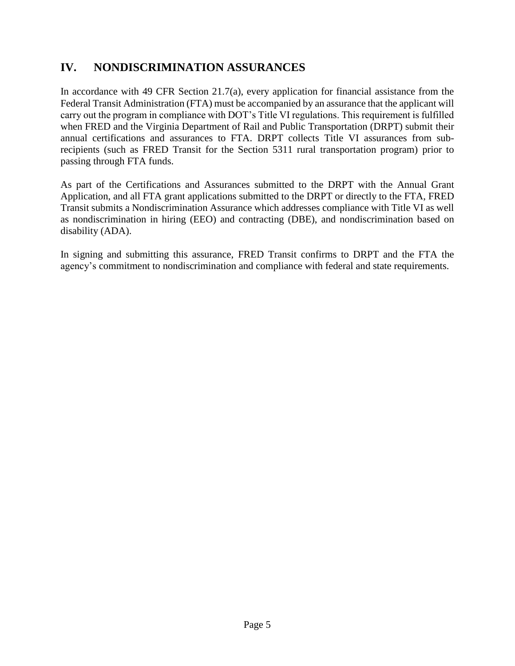# **IV. NONDISCRIMINATION ASSURANCES**

In accordance with 49 CFR Section 21.7(a), every application for financial assistance from the Federal Transit Administration (FTA) must be accompanied by an assurance that the applicant will carry out the program in compliance with DOT's Title VI regulations. This requirement is fulfilled when FRED and the Virginia Department of Rail and Public Transportation (DRPT) submit their annual certifications and assurances to FTA. DRPT collects Title VI assurances from subrecipients (such as FRED Transit for the Section 5311 rural transportation program) prior to passing through FTA funds.

As part of the Certifications and Assurances submitted to the DRPT with the Annual Grant Application, and all FTA grant applications submitted to the DRPT or directly to the FTA, FRED Transit submits a Nondiscrimination Assurance which addresses compliance with Title VI as well as nondiscrimination in hiring (EEO) and contracting (DBE), and nondiscrimination based on disability (ADA).

In signing and submitting this assurance, FRED Transit confirms to DRPT and the FTA the agency's commitment to nondiscrimination and compliance with federal and state requirements.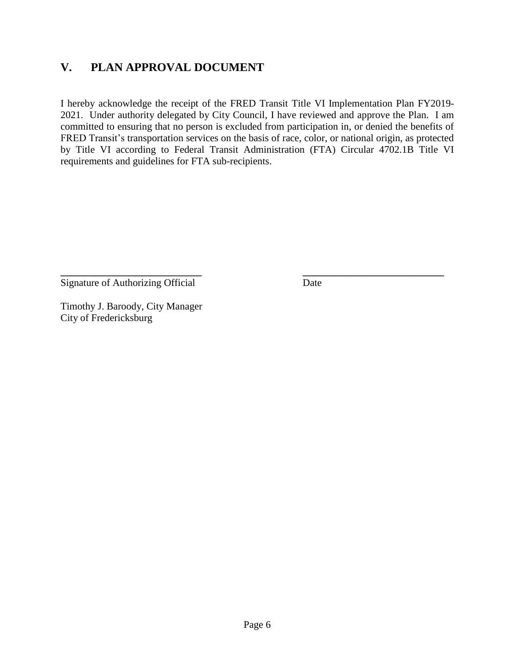# **V. PLAN APPROVAL DOCUMENT**

I hereby acknowledge the receipt of the FRED Transit Title VI Implementation Plan FY2019- 2021. Under authority delegated by City Council, I have reviewed and approve the Plan. I am committed to ensuring that no person is excluded from participation in, or denied the benefits of FRED Transit's transportation services on the basis of race, color, or national origin, as protected by Title VI according to Federal Transit Administration (FTA) Circular 4702.1B Title VI requirements and guidelines for FTA sub-recipients.

**\_\_\_\_\_\_\_\_\_\_\_\_\_\_\_\_\_\_\_\_\_\_\_\_\_\_\_\_ \_\_\_\_\_\_\_\_\_\_\_\_\_\_\_\_\_\_\_\_\_\_\_\_\_\_\_\_**

Signature of Authorizing Official Date

Timothy J. Baroody, City Manager City of Fredericksburg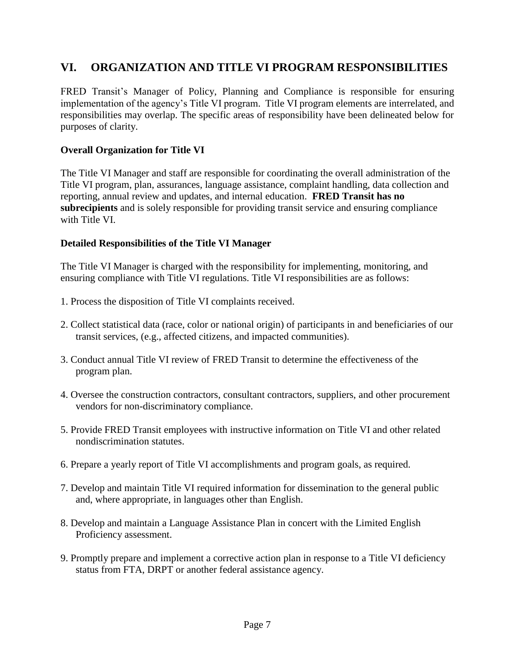# **VI. ORGANIZATION AND TITLE VI PROGRAM RESPONSIBILITIES**

FRED Transit's Manager of Policy, Planning and Compliance is responsible for ensuring implementation of the agency's Title VI program. Title VI program elements are interrelated, and responsibilities may overlap. The specific areas of responsibility have been delineated below for purposes of clarity.

## **Overall Organization for Title VI**

The Title VI Manager and staff are responsible for coordinating the overall administration of the Title VI program, plan, assurances, language assistance, complaint handling, data collection and reporting, annual review and updates, and internal education. **FRED Transit has no subrecipients** and is solely responsible for providing transit service and ensuring compliance with Title VI.

## **Detailed Responsibilities of the Title VI Manager**

The Title VI Manager is charged with the responsibility for implementing, monitoring, and ensuring compliance with Title VI regulations. Title VI responsibilities are as follows:

- 1. Process the disposition of Title VI complaints received.
- 2. Collect statistical data (race, color or national origin) of participants in and beneficiaries of our transit services, (e.g., affected citizens, and impacted communities).
- 3. Conduct annual Title VI review of FRED Transit to determine the effectiveness of the program plan.
- 4. Oversee the construction contractors, consultant contractors, suppliers, and other procurement vendors for non-discriminatory compliance.
- 5. Provide FRED Transit employees with instructive information on Title VI and other related nondiscrimination statutes.
- 6. Prepare a yearly report of Title VI accomplishments and program goals, as required.
- 7. Develop and maintain Title VI required information for dissemination to the general public and, where appropriate, in languages other than English.
- 8. Develop and maintain a Language Assistance Plan in concert with the Limited English Proficiency assessment.
- 9. Promptly prepare and implement a corrective action plan in response to a Title VI deficiency status from FTA, DRPT or another federal assistance agency.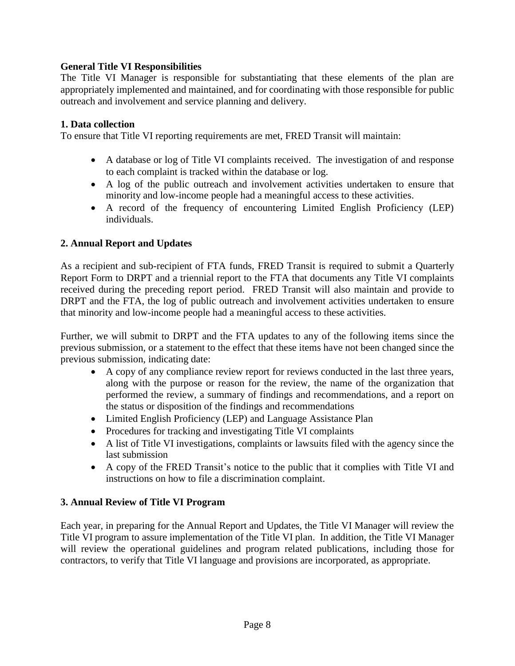## **General Title VI Responsibilities**

The Title VI Manager is responsible for substantiating that these elements of the plan are appropriately implemented and maintained, and for coordinating with those responsible for public outreach and involvement and service planning and delivery.

## **1. Data collection**

To ensure that Title VI reporting requirements are met, FRED Transit will maintain:

- A database or log of Title VI complaints received. The investigation of and response to each complaint is tracked within the database or log.
- A log of the public outreach and involvement activities undertaken to ensure that minority and low-income people had a meaningful access to these activities.
- A record of the frequency of encountering Limited English Proficiency (LEP) individuals.

## **2. Annual Report and Updates**

As a recipient and sub-recipient of FTA funds, FRED Transit is required to submit a Quarterly Report Form to DRPT and a triennial report to the FTA that documents any Title VI complaints received during the preceding report period. FRED Transit will also maintain and provide to DRPT and the FTA, the log of public outreach and involvement activities undertaken to ensure that minority and low-income people had a meaningful access to these activities.

Further, we will submit to DRPT and the FTA updates to any of the following items since the previous submission, or a statement to the effect that these items have not been changed since the previous submission, indicating date:

- A copy of any compliance review report for reviews conducted in the last three years, along with the purpose or reason for the review, the name of the organization that performed the review, a summary of findings and recommendations, and a report on the status or disposition of the findings and recommendations
- Limited English Proficiency (LEP) and Language Assistance Plan
- Procedures for tracking and investigating Title VI complaints
- A list of Title VI investigations, complaints or lawsuits filed with the agency since the last submission
- A copy of the FRED Transit's notice to the public that it complies with Title VI and instructions on how to file a discrimination complaint.

## **3. Annual Review of Title VI Program**

Each year, in preparing for the Annual Report and Updates, the Title VI Manager will review the Title VI program to assure implementation of the Title VI plan. In addition, the Title VI Manager will review the operational guidelines and program related publications, including those for contractors, to verify that Title VI language and provisions are incorporated, as appropriate.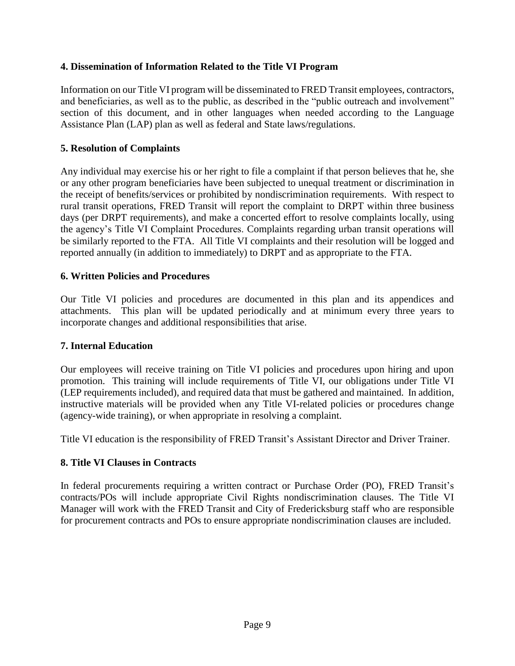## **4. Dissemination of Information Related to the Title VI Program**

Information on our Title VI program will be disseminated to FRED Transit employees, contractors, and beneficiaries, as well as to the public, as described in the "public outreach and involvement" section of this document, and in other languages when needed according to the Language Assistance Plan (LAP) plan as well as federal and State laws/regulations.

## **5. Resolution of Complaints**

Any individual may exercise his or her right to file a complaint if that person believes that he, she or any other program beneficiaries have been subjected to unequal treatment or discrimination in the receipt of benefits/services or prohibited by nondiscrimination requirements. With respect to rural transit operations, FRED Transit will report the complaint to DRPT within three business days (per DRPT requirements), and make a concerted effort to resolve complaints locally, using the agency's Title VI Complaint Procedures. Complaints regarding urban transit operations will be similarly reported to the FTA. All Title VI complaints and their resolution will be logged and reported annually (in addition to immediately) to DRPT and as appropriate to the FTA.

## **6. Written Policies and Procedures**

Our Title VI policies and procedures are documented in this plan and its appendices and attachments. This plan will be updated periodically and at minimum every three years to incorporate changes and additional responsibilities that arise.

## **7. Internal Education**

Our employees will receive training on Title VI policies and procedures upon hiring and upon promotion. This training will include requirements of Title VI, our obligations under Title VI (LEP requirements included), and required data that must be gathered and maintained. In addition, instructive materials will be provided when any Title VI-related policies or procedures change (agency-wide training), or when appropriate in resolving a complaint.

Title VI education is the responsibility of FRED Transit's Assistant Director and Driver Trainer.

## **8. Title VI Clauses in Contracts**

In federal procurements requiring a written contract or Purchase Order (PO), FRED Transit's contracts/POs will include appropriate Civil Rights nondiscrimination clauses. The Title VI Manager will work with the FRED Transit and City of Fredericksburg staff who are responsible for procurement contracts and POs to ensure appropriate nondiscrimination clauses are included.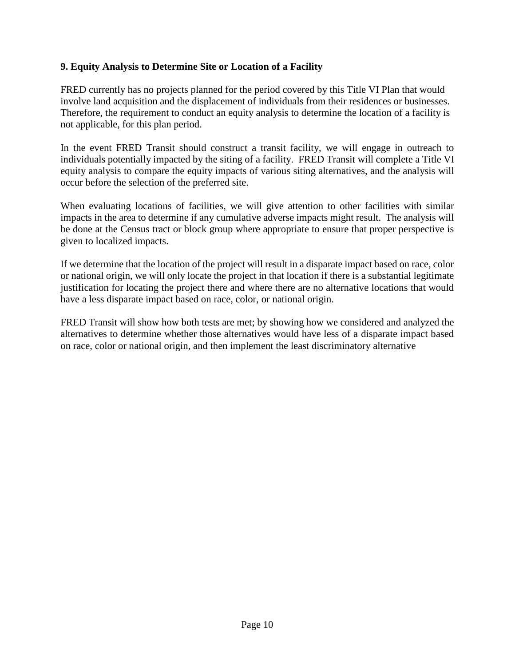## **9. Equity Analysis to Determine Site or Location of a Facility**

FRED currently has no projects planned for the period covered by this Title VI Plan that would involve land acquisition and the displacement of individuals from their residences or businesses. Therefore, the requirement to conduct an equity analysis to determine the location of a facility is not applicable, for this plan period.

In the event FRED Transit should construct a transit facility, we will engage in outreach to individuals potentially impacted by the siting of a facility. FRED Transit will complete a Title VI equity analysis to compare the equity impacts of various siting alternatives, and the analysis will occur before the selection of the preferred site.

When evaluating locations of facilities, we will give attention to other facilities with similar impacts in the area to determine if any cumulative adverse impacts might result. The analysis will be done at the Census tract or block group where appropriate to ensure that proper perspective is given to localized impacts.

If we determine that the location of the project will result in a disparate impact based on race, color or national origin, we will only locate the project in that location if there is a substantial legitimate justification for locating the project there and where there are no alternative locations that would have a less disparate impact based on race, color, or national origin.

FRED Transit will show how both tests are met; by showing how we considered and analyzed the alternatives to determine whether those alternatives would have less of a disparate impact based on race, color or national origin, and then implement the least discriminatory alternative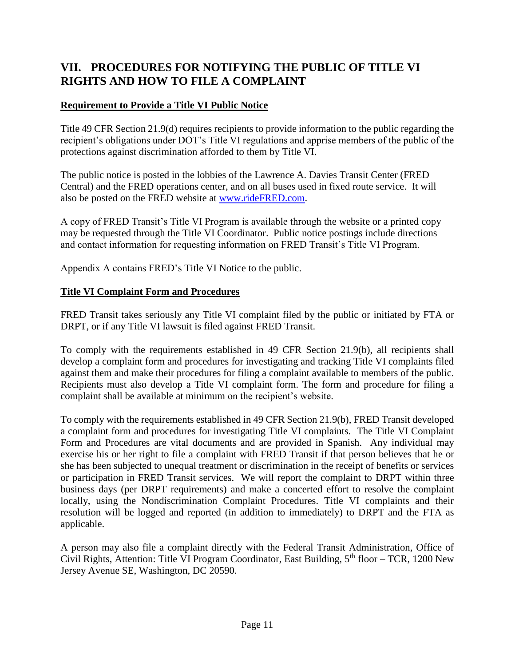# **VII. PROCEDURES FOR NOTIFYING THE PUBLIC OF TITLE VI RIGHTS AND HOW TO FILE A COMPLAINT**

## **Requirement to Provide a Title VI Public Notice**

Title 49 CFR Section 21.9(d) requires recipients to provide information to the public regarding the recipient's obligations under DOT's Title VI regulations and apprise members of the public of the protections against discrimination afforded to them by Title VI.

The public notice is posted in the lobbies of the Lawrence A. Davies Transit Center (FRED Central) and the FRED operations center, and on all buses used in fixed route service. It will also be posted on the FRED website at [www.rideFRED.com.](http://www.ridefred.com/)

A copy of FRED Transit's Title VI Program is available through the website or a printed copy may be requested through the Title VI Coordinator. Public notice postings include directions and contact information for requesting information on FRED Transit's Title VI Program.

Appendix A contains FRED's Title VI Notice to the public.

## **Title VI Complaint Form and Procedures**

FRED Transit takes seriously any Title VI complaint filed by the public or initiated by FTA or DRPT, or if any Title VI lawsuit is filed against FRED Transit.

To comply with the requirements established in 49 CFR Section 21.9(b), all recipients shall develop a complaint form and procedures for investigating and tracking Title VI complaints filed against them and make their procedures for filing a complaint available to members of the public. Recipients must also develop a Title VI complaint form. The form and procedure for filing a complaint shall be available at minimum on the recipient's website.

To comply with the requirements established in 49 CFR Section 21.9(b), FRED Transit developed a complaint form and procedures for investigating Title VI complaints. The Title VI Complaint Form and Procedures are vital documents and are provided in Spanish. Any individual may exercise his or her right to file a complaint with FRED Transit if that person believes that he or she has been subjected to unequal treatment or discrimination in the receipt of benefits or services or participation in FRED Transit services. We will report the complaint to DRPT within three business days (per DRPT requirements) and make a concerted effort to resolve the complaint locally, using the Nondiscrimination Complaint Procedures. Title VI complaints and their resolution will be logged and reported (in addition to immediately) to DRPT and the FTA as applicable.

A person may also file a complaint directly with the Federal Transit Administration, Office of Civil Rights, Attention: Title VI Program Coordinator, East Building,  $5<sup>th</sup>$  floor – TCR, 1200 New Jersey Avenue SE, Washington, DC 20590.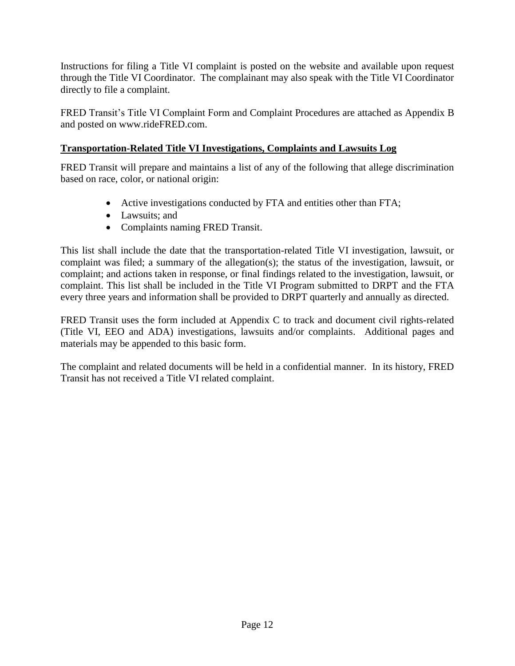Instructions for filing a Title VI complaint is posted on the website and available upon request through the Title VI Coordinator. The complainant may also speak with the Title VI Coordinator directly to file a complaint.

FRED Transit's Title VI Complaint Form and Complaint Procedures are attached as Appendix B and posted on www.rideFRED.com.

## **Transportation-Related Title VI Investigations, Complaints and Lawsuits Log**

FRED Transit will prepare and maintains a list of any of the following that allege discrimination based on race, color, or national origin:

- Active investigations conducted by FTA and entities other than FTA;
- Lawsuits: and
- Complaints naming FRED Transit.

This list shall include the date that the transportation-related Title VI investigation, lawsuit, or complaint was filed; a summary of the allegation(s); the status of the investigation, lawsuit, or complaint; and actions taken in response, or final findings related to the investigation, lawsuit, or complaint. This list shall be included in the Title VI Program submitted to DRPT and the FTA every three years and information shall be provided to DRPT quarterly and annually as directed.

FRED Transit uses the form included at Appendix C to track and document civil rights-related (Title VI, EEO and ADA) investigations, lawsuits and/or complaints. Additional pages and materials may be appended to this basic form.

The complaint and related documents will be held in a confidential manner. In its history, FRED Transit has not received a Title VI related complaint.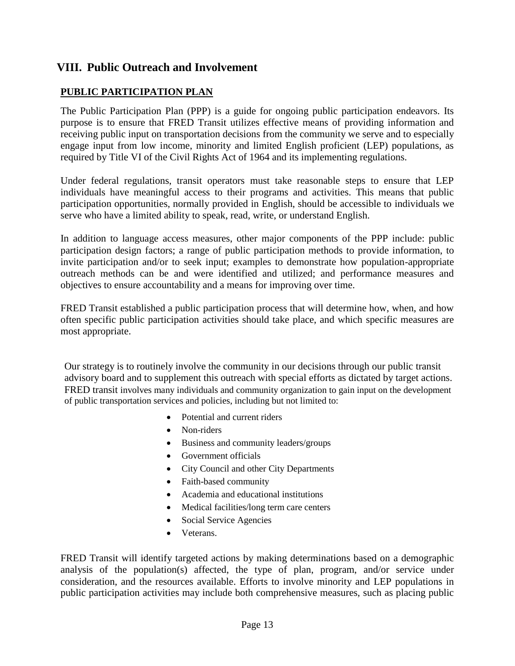## **VIII. Public Outreach and Involvement**

## **PUBLIC PARTICIPATION PLAN**

The Public Participation Plan (PPP) is a guide for ongoing public participation endeavors. Its purpose is to ensure that FRED Transit utilizes effective means of providing information and receiving public input on transportation decisions from the community we serve and to especially engage input from low income, minority and limited English proficient (LEP) populations, as required by Title VI of the Civil Rights Act of 1964 and its implementing regulations.

Under federal regulations, transit operators must take reasonable steps to ensure that LEP individuals have meaningful access to their programs and activities. This means that public participation opportunities, normally provided in English, should be accessible to individuals we serve who have a limited ability to speak, read, write, or understand English.

In addition to language access measures, other major components of the PPP include: public participation design factors; a range of public participation methods to provide information, to invite participation and/or to seek input; examples to demonstrate how population-appropriate outreach methods can be and were identified and utilized; and performance measures and objectives to ensure accountability and a means for improving over time.

FRED Transit established a public participation process that will determine how, when, and how often specific public participation activities should take place, and which specific measures are most appropriate.

Our strategy is to routinely involve the community in our decisions through our public transit advisory board and to supplement this outreach with special efforts as dictated by target actions. FRED transit involves many individuals and community organization to gain input on the development of public transportation services and policies, including but not limited to:

- Potential and current riders
- Non-riders
- Business and community leaders/groups
- Government officials
- City Council and other City Departments
- Faith-based community
- Academia and educational institutions
- Medical facilities/long term care centers
- Social Service Agencies
- Veterans.

FRED Transit will identify targeted actions by making determinations based on a demographic analysis of the population(s) affected, the type of plan, program, and/or service under consideration, and the resources available. Efforts to involve minority and LEP populations in public participation activities may include both comprehensive measures, such as placing public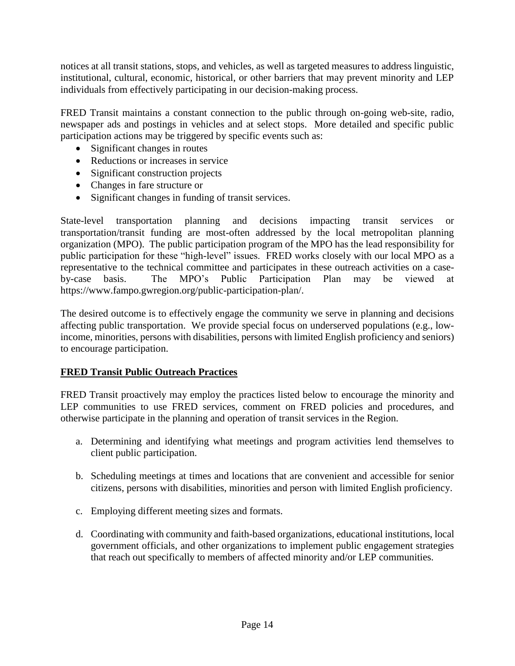notices at all transit stations, stops, and vehicles, as well as targeted measures to address linguistic, institutional, cultural, economic, historical, or other barriers that may prevent minority and LEP individuals from effectively participating in our decision-making process.

FRED Transit maintains a constant connection to the public through on-going web-site, radio, newspaper ads and postings in vehicles and at select stops. More detailed and specific public participation actions may be triggered by specific events such as:

- Significant changes in routes
- Reductions or increases in service
- Significant construction projects
- Changes in fare structure or
- Significant changes in funding of transit services.

State-level transportation planning and decisions impacting transit services or transportation/transit funding are most-often addressed by the local metropolitan planning organization (MPO). The public participation program of the MPO has the lead responsibility for public participation for these "high-level" issues. FRED works closely with our local MPO as a representative to the technical committee and participates in these outreach activities on a caseby-case basis. The MPO's Public Participation Plan may be viewed at https://www.fampo.gwregion.org/public-participation-plan/.

The desired outcome is to effectively engage the community we serve in planning and decisions affecting public transportation. We provide special focus on underserved populations (e.g., lowincome, minorities, persons with disabilities, persons with limited English proficiency and seniors) to encourage participation.

## **FRED Transit Public Outreach Practices**

FRED Transit proactively may employ the practices listed below to encourage the minority and LEP communities to use FRED services, comment on FRED policies and procedures, and otherwise participate in the planning and operation of transit services in the Region.

- a. Determining and identifying what meetings and program activities lend themselves to client public participation.
- b. Scheduling meetings at times and locations that are convenient and accessible for senior citizens, persons with disabilities, minorities and person with limited English proficiency.
- c. Employing different meeting sizes and formats.
- d. Coordinating with community and faith-based organizations, educational institutions, local government officials, and other organizations to implement public engagement strategies that reach out specifically to members of affected minority and/or LEP communities.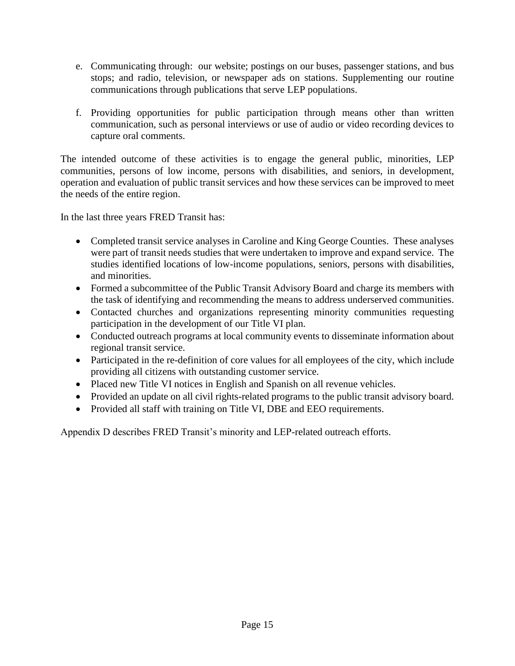- e. Communicating through: our website; postings on our buses, passenger stations, and bus stops; and radio, television, or newspaper ads on stations. Supplementing our routine communications through publications that serve LEP populations.
- f. Providing opportunities for public participation through means other than written communication, such as personal interviews or use of audio or video recording devices to capture oral comments.

The intended outcome of these activities is to engage the general public, minorities, LEP communities, persons of low income, persons with disabilities, and seniors, in development, operation and evaluation of public transit services and how these services can be improved to meet the needs of the entire region.

In the last three years FRED Transit has:

- Completed transit service analyses in Caroline and King George Counties. These analyses were part of transit needs studies that were undertaken to improve and expand service. The studies identified locations of low-income populations, seniors, persons with disabilities, and minorities.
- Formed a subcommittee of the Public Transit Advisory Board and charge its members with the task of identifying and recommending the means to address underserved communities.
- Contacted churches and organizations representing minority communities requesting participation in the development of our Title VI plan.
- Conducted outreach programs at local community events to disseminate information about regional transit service.
- Participated in the re-definition of core values for all employees of the city, which include providing all citizens with outstanding customer service.
- Placed new Title VI notices in English and Spanish on all revenue vehicles.
- Provided an update on all civil rights-related programs to the public transit advisory board.
- Provided all staff with training on Title VI, DBE and EEO requirements.

Appendix D describes FRED Transit's minority and LEP-related outreach efforts.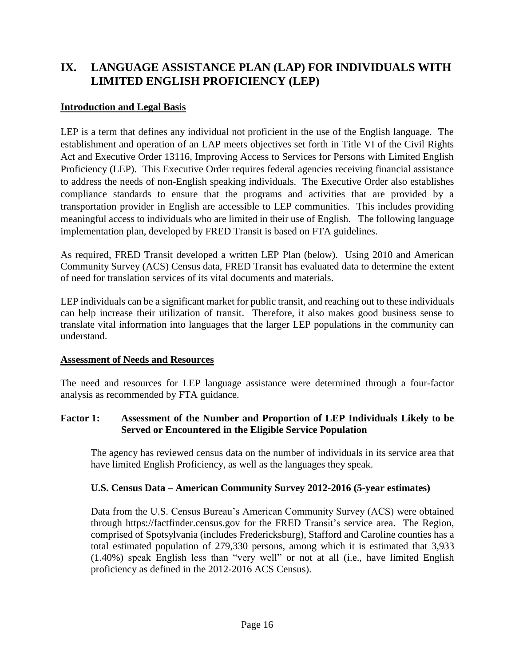# **IX. LANGUAGE ASSISTANCE PLAN (LAP) FOR INDIVIDUALS WITH LIMITED ENGLISH PROFICIENCY (LEP)**

## **Introduction and Legal Basis**

LEP is a term that defines any individual not proficient in the use of the English language. The establishment and operation of an LAP meets objectives set forth in Title VI of the Civil Rights Act and Executive Order 13116, Improving Access to Services for Persons with Limited English Proficiency (LEP). This Executive Order requires federal agencies receiving financial assistance to address the needs of non-English speaking individuals. The Executive Order also establishes compliance standards to ensure that the programs and activities that are provided by a transportation provider in English are accessible to LEP communities. This includes providing meaningful access to individuals who are limited in their use of English. The following language implementation plan, developed by FRED Transit is based on FTA guidelines.

As required, FRED Transit developed a written LEP Plan (below). Using 2010 and American Community Survey (ACS) Census data, FRED Transit has evaluated data to determine the extent of need for translation services of its vital documents and materials.

LEP individuals can be a significant market for public transit, and reaching out to these individuals can help increase their utilization of transit. Therefore, it also makes good business sense to translate vital information into languages that the larger LEP populations in the community can understand.

## **Assessment of Needs and Resources**

The need and resources for LEP language assistance were determined through a four-factor analysis as recommended by FTA guidance.

## **Factor 1: Assessment of the Number and Proportion of LEP Individuals Likely to be Served or Encountered in the Eligible Service Population**

The agency has reviewed census data on the number of individuals in its service area that have limited English Proficiency, as well as the languages they speak.

## **U.S. Census Data – American Community Survey 2012-2016 (5-year estimates)**

Data from the U.S. Census Bureau's American Community Survey (ACS) were obtained through https://factfinder.census.gov for the FRED Transit's service area. The Region, comprised of Spotsylvania (includes Fredericksburg), Stafford and Caroline counties has a total estimated population of 279,330 persons, among which it is estimated that 3,933 (1.40%) speak English less than "very well" or not at all (i.e., have limited English proficiency as defined in the 2012-2016 ACS Census).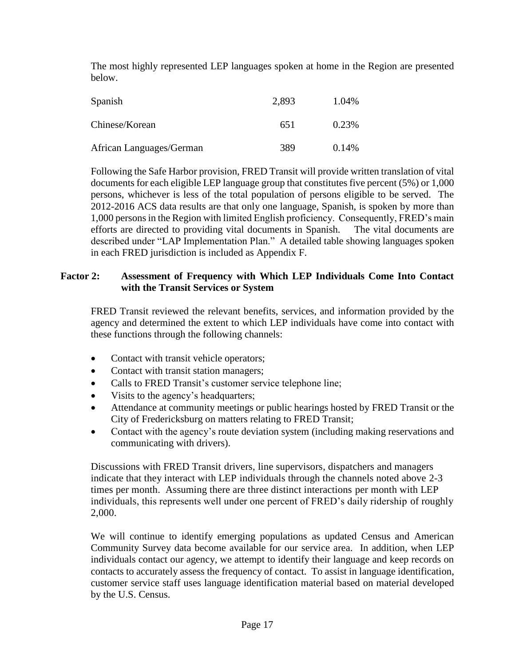The most highly represented LEP languages spoken at home in the Region are presented below.

| Spanish                  | 2,893 | 1.04% |
|--------------------------|-------|-------|
| Chinese/Korean           | 651   | 0.23% |
| African Languages/German | 389   | 0.14% |

Following the Safe Harbor provision, FRED Transit will provide written translation of vital documents for each eligible LEP language group that constitutes five percent (5%) or 1,000 persons, whichever is less of the total population of persons eligible to be served. The 2012-2016 ACS data results are that only one language, Spanish, is spoken by more than 1,000 persons in the Region with limited English proficiency. Consequently, FRED's main efforts are directed to providing vital documents in Spanish. The vital documents are described under "LAP Implementation Plan." A detailed table showing languages spoken in each FRED jurisdiction is included as Appendix F.

## **Factor 2: Assessment of Frequency with Which LEP Individuals Come Into Contact with the Transit Services or System**

FRED Transit reviewed the relevant benefits, services, and information provided by the agency and determined the extent to which LEP individuals have come into contact with these functions through the following channels:

- Contact with transit vehicle operators;
- Contact with transit station managers;
- Calls to FRED Transit's customer service telephone line;
- Visits to the agency's headquarters;
- Attendance at community meetings or public hearings hosted by FRED Transit or the City of Fredericksburg on matters relating to FRED Transit;
- Contact with the agency's route deviation system (including making reservations and communicating with drivers).

Discussions with FRED Transit drivers, line supervisors, dispatchers and managers indicate that they interact with LEP individuals through the channels noted above 2-3 times per month. Assuming there are three distinct interactions per month with LEP individuals, this represents well under one percent of FRED's daily ridership of roughly 2,000.

We will continue to identify emerging populations as updated Census and American Community Survey data become available for our service area. In addition, when LEP individuals contact our agency, we attempt to identify their language and keep records on contacts to accurately assess the frequency of contact. To assist in language identification, customer service staff uses language identification material based on material developed by the U.S. Census.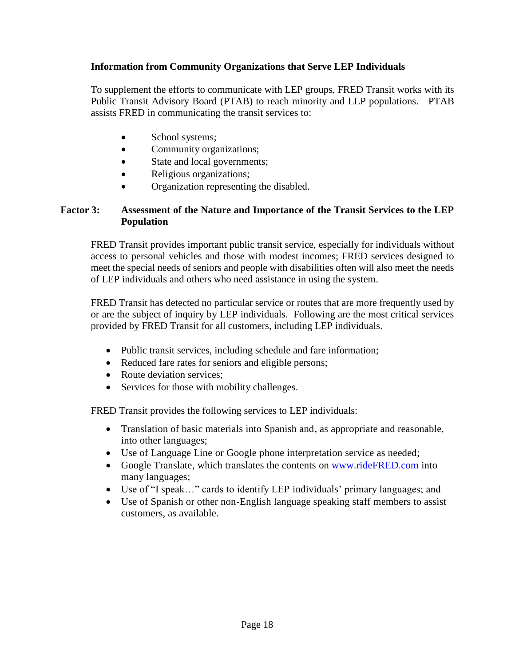## **Information from Community Organizations that Serve LEP Individuals**

To supplement the efforts to communicate with LEP groups, FRED Transit works with its Public Transit Advisory Board (PTAB) to reach minority and LEP populations. PTAB assists FRED in communicating the transit services to:

- School systems;
- Community organizations;
- State and local governments;
- Religious organizations;
- Organization representing the disabled.

## **Factor 3: Assessment of the Nature and Importance of the Transit Services to the LEP Population**

FRED Transit provides important public transit service, especially for individuals without access to personal vehicles and those with modest incomes; FRED services designed to meet the special needs of seniors and people with disabilities often will also meet the needs of LEP individuals and others who need assistance in using the system.

FRED Transit has detected no particular service or routes that are more frequently used by or are the subject of inquiry by LEP individuals. Following are the most critical services provided by FRED Transit for all customers, including LEP individuals.

- Public transit services, including schedule and fare information;
- Reduced fare rates for seniors and eligible persons;
- Route deviation services:
- Services for those with mobility challenges.

FRED Transit provides the following services to LEP individuals:

- Translation of basic materials into Spanish and, as appropriate and reasonable, into other languages;
- Use of Language Line or Google phone interpretation service as needed;
- Google Translate, which translates the contents on [www.rideFRED.com](http://www.ridefred.com/) into many languages;
- Use of "I speak…" cards to identify LEP individuals' primary languages; and
- Use of Spanish or other non-English language speaking staff members to assist customers, as available.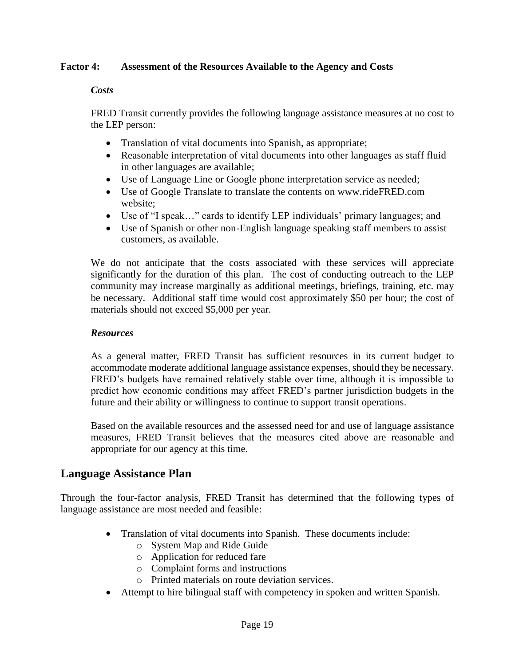## **Factor 4: Assessment of the Resources Available to the Agency and Costs**

#### *Costs*

FRED Transit currently provides the following language assistance measures at no cost to the LEP person:

- Translation of vital documents into Spanish, as appropriate;
- Reasonable interpretation of vital documents into other languages as staff fluid in other languages are available;
- Use of Language Line or Google phone interpretation service as needed;
- Use of Google Translate to translate the contents on www.rideFRED.com website;
- Use of "I speak…" cards to identify LEP individuals' primary languages; and
- Use of Spanish or other non-English language speaking staff members to assist customers, as available.

We do not anticipate that the costs associated with these services will appreciate significantly for the duration of this plan. The cost of conducting outreach to the LEP community may increase marginally as additional meetings, briefings, training, etc. may be necessary. Additional staff time would cost approximately \$50 per hour; the cost of materials should not exceed \$5,000 per year.

#### *Resources*

As a general matter, FRED Transit has sufficient resources in its current budget to accommodate moderate additional language assistance expenses, should they be necessary. FRED's budgets have remained relatively stable over time, although it is impossible to predict how economic conditions may affect FRED's partner jurisdiction budgets in the future and their ability or willingness to continue to support transit operations.

Based on the available resources and the assessed need for and use of language assistance measures, FRED Transit believes that the measures cited above are reasonable and appropriate for our agency at this time.

## **Language Assistance Plan**

Through the four-factor analysis, FRED Transit has determined that the following types of language assistance are most needed and feasible:

- Translation of vital documents into Spanish. These documents include:
	- o System Map and Ride Guide
	- o Application for reduced fare
	- o Complaint forms and instructions
	- o Printed materials on route deviation services.
- Attempt to hire bilingual staff with competency in spoken and written Spanish.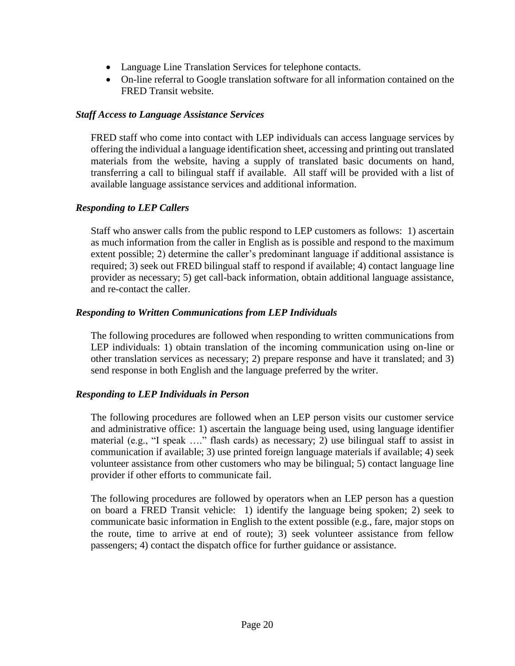- Language Line Translation Services for telephone contacts.
- On-line referral to Google translation software for all information contained on the FRED Transit website.

## *Staff Access to Language Assistance Services*

FRED staff who come into contact with LEP individuals can access language services by offering the individual a language identification sheet, accessing and printing out translated materials from the website, having a supply of translated basic documents on hand, transferring a call to bilingual staff if available. All staff will be provided with a list of available language assistance services and additional information.

## *Responding to LEP Callers*

Staff who answer calls from the public respond to LEP customers as follows: 1) ascertain as much information from the caller in English as is possible and respond to the maximum extent possible; 2) determine the caller's predominant language if additional assistance is required; 3) seek out FRED bilingual staff to respond if available; 4) contact language line provider as necessary; 5) get call-back information, obtain additional language assistance, and re-contact the caller.

## *Responding to Written Communications from LEP Individuals*

The following procedures are followed when responding to written communications from LEP individuals: 1) obtain translation of the incoming communication using on-line or other translation services as necessary; 2) prepare response and have it translated; and 3) send response in both English and the language preferred by the writer.

## *Responding to LEP Individuals in Person*

The following procedures are followed when an LEP person visits our customer service and administrative office: 1) ascertain the language being used, using language identifier material (e.g., "I speak …." flash cards) as necessary; 2) use bilingual staff to assist in communication if available; 3) use printed foreign language materials if available; 4) seek volunteer assistance from other customers who may be bilingual; 5) contact language line provider if other efforts to communicate fail.

The following procedures are followed by operators when an LEP person has a question on board a FRED Transit vehicle: 1) identify the language being spoken; 2) seek to communicate basic information in English to the extent possible (e.g., fare, major stops on the route, time to arrive at end of route); 3) seek volunteer assistance from fellow passengers; 4) contact the dispatch office for further guidance or assistance.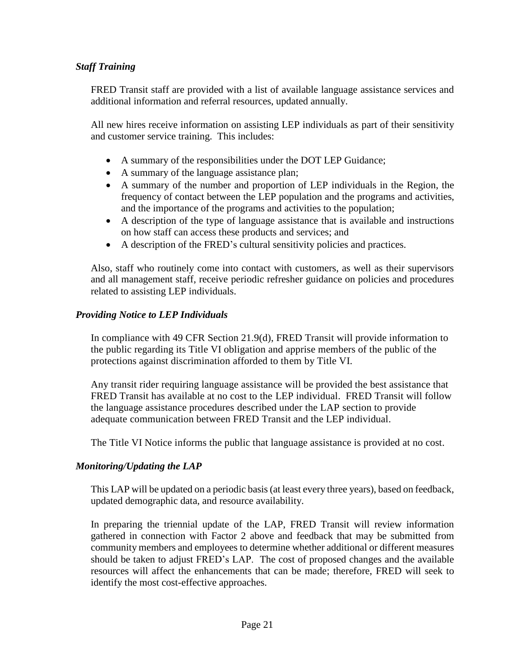## *Staff Training*

FRED Transit staff are provided with a list of available language assistance services and additional information and referral resources, updated annually.

All new hires receive information on assisting LEP individuals as part of their sensitivity and customer service training. This includes:

- A summary of the responsibilities under the DOT LEP Guidance;
- A summary of the language assistance plan;
- A summary of the number and proportion of LEP individuals in the Region, the frequency of contact between the LEP population and the programs and activities, and the importance of the programs and activities to the population;
- A description of the type of language assistance that is available and instructions on how staff can access these products and services; and
- A description of the FRED's cultural sensitivity policies and practices.

Also, staff who routinely come into contact with customers, as well as their supervisors and all management staff, receive periodic refresher guidance on policies and procedures related to assisting LEP individuals.

## *Providing Notice to LEP Individuals*

In compliance with 49 CFR Section 21.9(d), FRED Transit will provide information to the public regarding its Title VI obligation and apprise members of the public of the protections against discrimination afforded to them by Title VI.

Any transit rider requiring language assistance will be provided the best assistance that FRED Transit has available at no cost to the LEP individual. FRED Transit will follow the language assistance procedures described under the LAP section to provide adequate communication between FRED Transit and the LEP individual.

The Title VI Notice informs the public that language assistance is provided at no cost.

## *Monitoring/Updating the LAP*

This LAP will be updated on a periodic basis (at least every three years), based on feedback, updated demographic data, and resource availability.

In preparing the triennial update of the LAP, FRED Transit will review information gathered in connection with Factor 2 above and feedback that may be submitted from community members and employees to determine whether additional or different measures should be taken to adjust FRED's LAP. The cost of proposed changes and the available resources will affect the enhancements that can be made; therefore, FRED will seek to identify the most cost-effective approaches.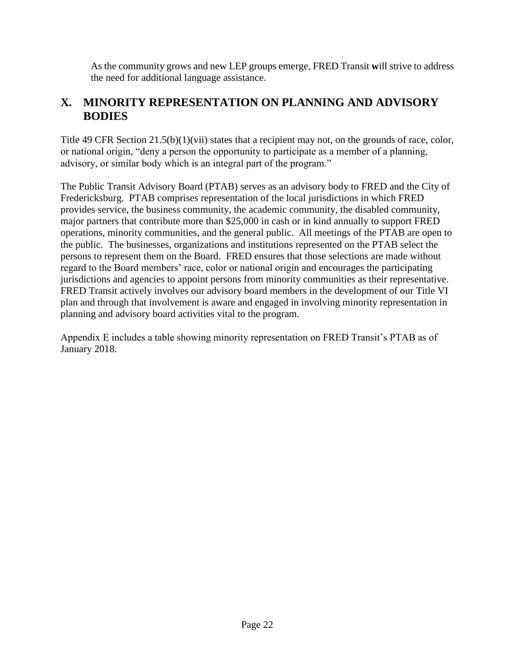As the community grows and new LEP groups emerge, FRED Transit **w**ill strive to address the need for additional language assistance.

# **X. MINORITY REPRESENTATION ON PLANNING AND ADVISORY BODIES**

Title 49 CFR Section 21.5(b)(1)(vii) states that a recipient may not, on the grounds of race, color, or national origin, "deny a person the opportunity to participate as a member of a planning, advisory, or similar body which is an integral part of the program."

The Public Transit Advisory Board (PTAB) serves as an advisory body to FRED and the City of Fredericksburg. PTAB comprises representation of the local jurisdictions in which FRED provides service, the business community, the academic community, the disabled community, major partners that contribute more than \$25,000 in cash or in kind annually to support FRED operations, minority communities, and the general public. All meetings of the PTAB are open to the public. The businesses, organizations and institutions represented on the PTAB select the persons to represent them on the Board. FRED ensures that those selections are made without regard to the Board members' race, color or national origin and encourages the participating jurisdictions and agencies to appoint persons from minority communities as their representative. FRED Transit actively involves our advisory board members in the development of our Title VI plan and through that involvement is aware and engaged in involving minority representation in planning and advisory board activities vital to the program.

Appendix E includes a table showing minority representation on FRED Transit's PTAB as of January 2018.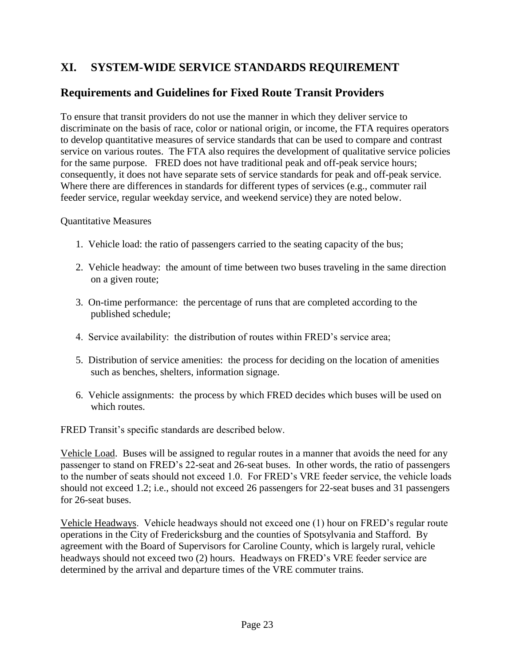# **XI. SYSTEM-WIDE SERVICE STANDARDS REQUIREMENT**

## **Requirements and Guidelines for Fixed Route Transit Providers**

To ensure that transit providers do not use the manner in which they deliver service to discriminate on the basis of race, color or national origin, or income, the FTA requires operators to develop quantitative measures of service standards that can be used to compare and contrast service on various routes. The FTA also requires the development of qualitative service policies for the same purpose. FRED does not have traditional peak and off-peak service hours; consequently, it does not have separate sets of service standards for peak and off-peak service. Where there are differences in standards for different types of services (e.g., commuter rail feeder service, regular weekday service, and weekend service) they are noted below.

Quantitative Measures

- 1. Vehicle load: the ratio of passengers carried to the seating capacity of the bus;
- 2. Vehicle headway: the amount of time between two buses traveling in the same direction on a given route;
- 3. On-time performance: the percentage of runs that are completed according to the published schedule;
- 4. Service availability: the distribution of routes within FRED's service area;
- 5. Distribution of service amenities: the process for deciding on the location of amenities such as benches, shelters, information signage.
- 6. Vehicle assignments: the process by which FRED decides which buses will be used on which routes.

FRED Transit's specific standards are described below.

Vehicle Load. Buses will be assigned to regular routes in a manner that avoids the need for any passenger to stand on FRED's 22-seat and 26-seat buses. In other words, the ratio of passengers to the number of seats should not exceed 1.0. For FRED's VRE feeder service, the vehicle loads should not exceed 1.2; i.e., should not exceed 26 passengers for 22-seat buses and 31 passengers for 26-seat buses.

Vehicle Headways. Vehicle headways should not exceed one (1) hour on FRED's regular route operations in the City of Fredericksburg and the counties of Spotsylvania and Stafford. By agreement with the Board of Supervisors for Caroline County, which is largely rural, vehicle headways should not exceed two (2) hours. Headways on FRED's VRE feeder service are determined by the arrival and departure times of the VRE commuter trains.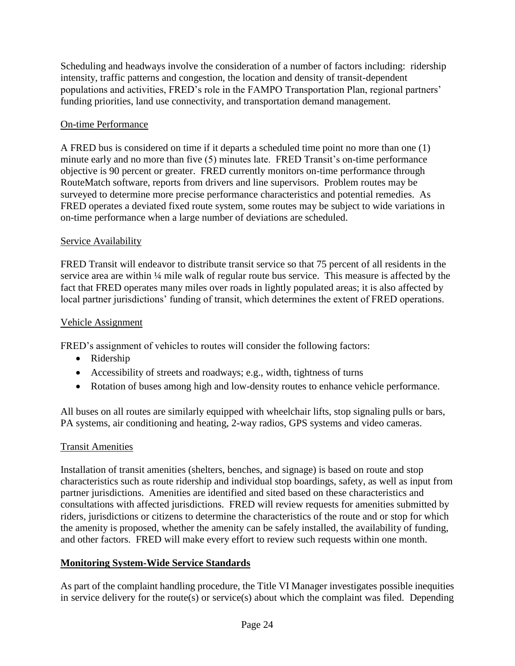Scheduling and headways involve the consideration of a number of factors including: ridership intensity, traffic patterns and congestion, the location and density of transit-dependent populations and activities, FRED's role in the FAMPO Transportation Plan, regional partners' funding priorities, land use connectivity, and transportation demand management.

## On-time Performance

A FRED bus is considered on time if it departs a scheduled time point no more than one (1) minute early and no more than five (5) minutes late. FRED Transit's on-time performance objective is 90 percent or greater. FRED currently monitors on-time performance through RouteMatch software, reports from drivers and line supervisors. Problem routes may be surveyed to determine more precise performance characteristics and potential remedies. As FRED operates a deviated fixed route system, some routes may be subject to wide variations in on-time performance when a large number of deviations are scheduled.

## Service Availability

FRED Transit will endeavor to distribute transit service so that 75 percent of all residents in the service area are within 1/4 mile walk of regular route bus service. This measure is affected by the fact that FRED operates many miles over roads in lightly populated areas; it is also affected by local partner jurisdictions' funding of transit, which determines the extent of FRED operations.

## Vehicle Assignment

FRED's assignment of vehicles to routes will consider the following factors:

- Ridership
- Accessibility of streets and roadways; e.g., width, tightness of turns
- Rotation of buses among high and low-density routes to enhance vehicle performance.

All buses on all routes are similarly equipped with wheelchair lifts, stop signaling pulls or bars, PA systems, air conditioning and heating, 2-way radios, GPS systems and video cameras.

## Transit Amenities

Installation of transit amenities (shelters, benches, and signage) is based on route and stop characteristics such as route ridership and individual stop boardings, safety, as well as input from partner jurisdictions. Amenities are identified and sited based on these characteristics and consultations with affected jurisdictions. FRED will review requests for amenities submitted by riders, jurisdictions or citizens to determine the characteristics of the route and or stop for which the amenity is proposed, whether the amenity can be safely installed, the availability of funding, and other factors. FRED will make every effort to review such requests within one month.

## **Monitoring System-Wide Service Standards**

As part of the complaint handling procedure, the Title VI Manager investigates possible inequities in service delivery for the route(s) or service(s) about which the complaint was filed. Depending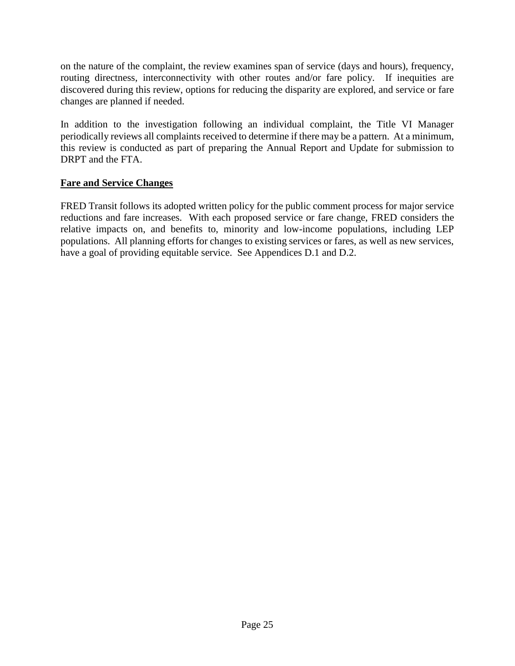on the nature of the complaint, the review examines span of service (days and hours), frequency, routing directness, interconnectivity with other routes and/or fare policy. If inequities are discovered during this review, options for reducing the disparity are explored, and service or fare changes are planned if needed.

In addition to the investigation following an individual complaint, the Title VI Manager periodically reviews all complaints received to determine if there may be a pattern. At a minimum, this review is conducted as part of preparing the Annual Report and Update for submission to DRPT and the FTA.

## **Fare and Service Changes**

FRED Transit follows its adopted written policy for the public comment process for major service reductions and fare increases. With each proposed service or fare change, FRED considers the relative impacts on, and benefits to, minority and low-income populations, including LEP populations. All planning efforts for changes to existing services or fares, as well as new services, have a goal of providing equitable service. See Appendices D.1 and D.2.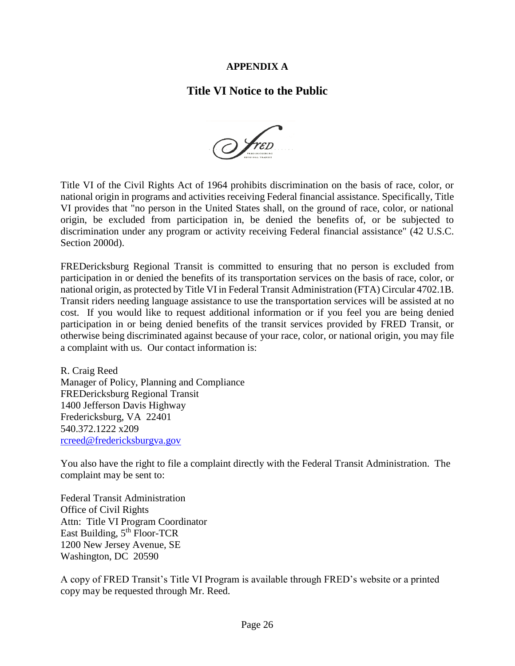## **APPENDIX A**

## **Title VI Notice to the Public**

 $\mathcal{D}$  fred

Title VI of the Civil Rights Act of 1964 prohibits discrimination on the basis of race, color, or national origin in programs and activities receiving Federal financial assistance. Specifically, Title VI provides that "no person in the United States shall, on the ground of race, color, or national origin, be excluded from participation in, be denied the benefits of, or be subjected to discrimination under any program or activity receiving Federal financial assistance" (42 U.S.C. Section 2000d).

FREDericksburg Regional Transit is committed to ensuring that no person is excluded from participation in or denied the benefits of its transportation services on the basis of race, color, or national origin, as protected by Title VI in Federal Transit Administration (FTA) Circular 4702.1B. Transit riders needing language assistance to use the transportation services will be assisted at no cost. If you would like to request additional information or if you feel you are being denied participation in or being denied benefits of the transit services provided by FRED Transit, or otherwise being discriminated against because of your race, color, or national origin, you may file a complaint with us. Our contact information is:

R. Craig Reed Manager of Policy, Planning and Compliance FREDericksburg Regional Transit 1400 Jefferson Davis Highway Fredericksburg, VA 22401 540.372.1222 x209 [rcreed@fredericksburgva.gov](mailto:rcreed@fredericksburgva.gov)

You also have the right to file a complaint directly with the Federal Transit Administration. The complaint may be sent to:

Federal Transit Administration Office of Civil Rights Attn: Title VI Program Coordinator East Building, 5<sup>th</sup> Floor-TCR 1200 New Jersey Avenue, SE Washington, DC 20590

A copy of FRED Transit's Title VI Program is available through FRED's website or a printed copy may be requested through Mr. Reed.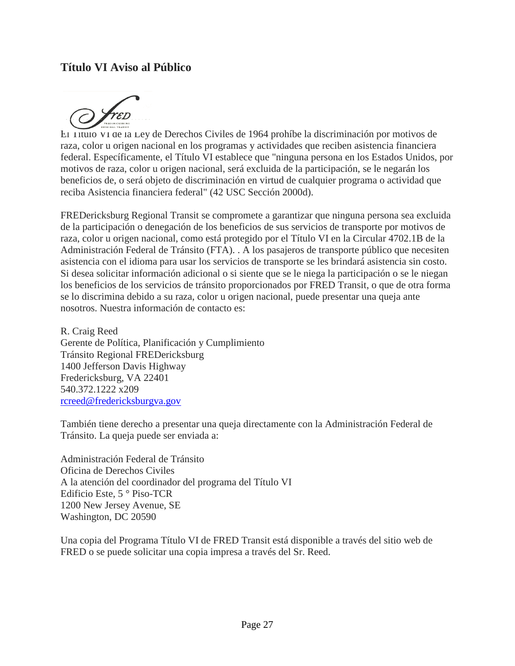## **Título VI Aviso al Público**



El Título VI de la Ley de Derechos Civiles de 1964 prohíbe la discriminación por motivos de raza, color u origen nacional en los programas y actividades que reciben asistencia financiera federal. Específicamente, el Título VI establece que "ninguna persona en los Estados Unidos, por motivos de raza, color u origen nacional, será excluida de la participación, se le negarán los beneficios de, o será objeto de discriminación en virtud de cualquier programa o actividad que reciba Asistencia financiera federal" (42 USC Sección 2000d).

FREDericksburg Regional Transit se compromete a garantizar que ninguna persona sea excluida de la participación o denegación de los beneficios de sus servicios de transporte por motivos de raza, color u origen nacional, como está protegido por el Título VI en la Circular 4702.1B de la Administración Federal de Tránsito (FTA). . A los pasajeros de transporte público que necesiten asistencia con el idioma para usar los servicios de transporte se les brindará asistencia sin costo. Si desea solicitar información adicional o si siente que se le niega la participación o se le niegan los beneficios de los servicios de tránsito proporcionados por FRED Transit, o que de otra forma se lo discrimina debido a su raza, color u origen nacional, puede presentar una queja ante nosotros. Nuestra información de contacto es:

R. Craig Reed Gerente de Política, Planificación y Cumplimiento Tránsito Regional FREDericksburg 1400 Jefferson Davis Highway Fredericksburg, VA 22401 540.372.1222 x209 [rcreed@fredericksburgva.gov](file://///cityfiles/tngrp$/Arnie%20H%20Drive/Non-discrimination%20Programs/Title%20VI/Title%20VI%20FY2019-21/Contractor%20Material/rcreed@fredericksburgva.gov)

También tiene derecho a presentar una queja directamente con la Administración Federal de Tránsito. La queja puede ser enviada a:

Administración Federal de Tránsito Oficina de Derechos Civiles A la atención del coordinador del programa del Título VI Edificio Este, 5 ° Piso-TCR 1200 New Jersey Avenue, SE Washington, DC 20590

Una copia del Programa Título VI de FRED Transit está disponible a través del sitio web de FRED o se puede solicitar una copia impresa a través del Sr. Reed.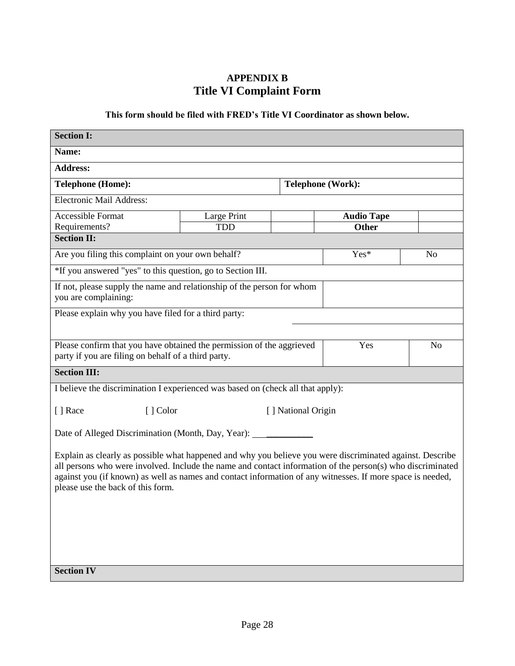# **APPENDIX B Title VI Complaint Form**

## **This form should be filed with FRED's Title VI Coordinator as shown below.**

| <b>Section I:</b>                                                                                                                                                                                                                                                                                                                                                          |                                           |  |                          |                |  |  |  |
|----------------------------------------------------------------------------------------------------------------------------------------------------------------------------------------------------------------------------------------------------------------------------------------------------------------------------------------------------------------------------|-------------------------------------------|--|--------------------------|----------------|--|--|--|
| Name:                                                                                                                                                                                                                                                                                                                                                                      |                                           |  |                          |                |  |  |  |
| <b>Address:</b>                                                                                                                                                                                                                                                                                                                                                            |                                           |  |                          |                |  |  |  |
| <b>Telephone (Home):</b>                                                                                                                                                                                                                                                                                                                                                   |                                           |  | <b>Telephone (Work):</b> |                |  |  |  |
| Electronic Mail Address:                                                                                                                                                                                                                                                                                                                                                   |                                           |  |                          |                |  |  |  |
| <b>Accessible Format</b>                                                                                                                                                                                                                                                                                                                                                   | Large Print                               |  | <b>Audio Tape</b>        |                |  |  |  |
| Requirements?                                                                                                                                                                                                                                                                                                                                                              | <b>TDD</b>                                |  | <b>Other</b>             |                |  |  |  |
| <b>Section II:</b>                                                                                                                                                                                                                                                                                                                                                         |                                           |  |                          |                |  |  |  |
| Are you filing this complaint on your own behalf?                                                                                                                                                                                                                                                                                                                          |                                           |  | Yes*                     | N <sub>o</sub> |  |  |  |
| *If you answered "yes" to this question, go to Section III.                                                                                                                                                                                                                                                                                                                |                                           |  |                          |                |  |  |  |
| If not, please supply the name and relationship of the person for whom<br>you are complaining:                                                                                                                                                                                                                                                                             |                                           |  |                          |                |  |  |  |
| Please explain why you have filed for a third party:                                                                                                                                                                                                                                                                                                                       |                                           |  |                          |                |  |  |  |
|                                                                                                                                                                                                                                                                                                                                                                            |                                           |  |                          |                |  |  |  |
| Please confirm that you have obtained the permission of the aggrieved                                                                                                                                                                                                                                                                                                      |                                           |  | Yes                      | N <sub>0</sub> |  |  |  |
| party if you are filing on behalf of a third party.                                                                                                                                                                                                                                                                                                                        |                                           |  |                          |                |  |  |  |
| <b>Section III:</b>                                                                                                                                                                                                                                                                                                                                                        |                                           |  |                          |                |  |  |  |
| I believe the discrimination I experienced was based on (check all that apply):                                                                                                                                                                                                                                                                                            |                                           |  |                          |                |  |  |  |
|                                                                                                                                                                                                                                                                                                                                                                            |                                           |  |                          |                |  |  |  |
|                                                                                                                                                                                                                                                                                                                                                                            | [] Race<br>[] Color<br>[] National Origin |  |                          |                |  |  |  |
| Date of Alleged Discrimination (Month, Day, Year): ______________________________                                                                                                                                                                                                                                                                                          |                                           |  |                          |                |  |  |  |
| Explain as clearly as possible what happened and why you believe you were discriminated against. Describe<br>all persons who were involved. Include the name and contact information of the person(s) who discriminated<br>against you (if known) as well as names and contact information of any witnesses. If more space is needed,<br>please use the back of this form. |                                           |  |                          |                |  |  |  |
| <b>Section IV</b>                                                                                                                                                                                                                                                                                                                                                          |                                           |  |                          |                |  |  |  |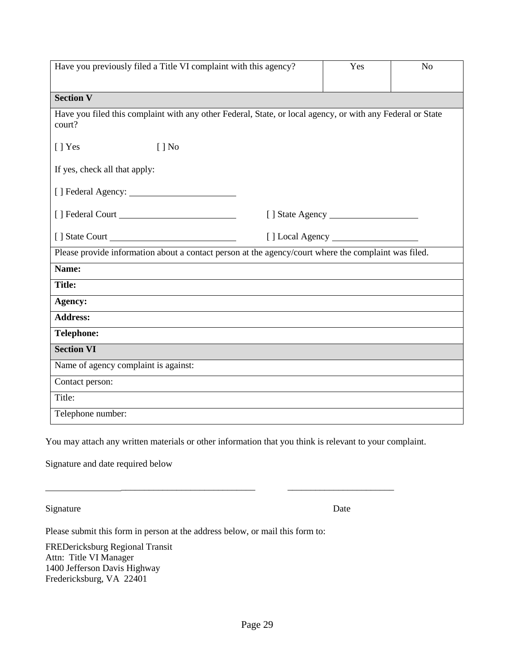| Have you previously filed a Title VI complaint with this agency?                                                     | Yes | N <sub>o</sub> |
|----------------------------------------------------------------------------------------------------------------------|-----|----------------|
| <b>Section V</b>                                                                                                     |     |                |
|                                                                                                                      |     |                |
| Have you filed this complaint with any other Federal, State, or local agency, or with any Federal or State<br>court? |     |                |
| [ ] Yes<br>$[ ]$ No                                                                                                  |     |                |
| If yes, check all that apply:                                                                                        |     |                |
|                                                                                                                      |     |                |
|                                                                                                                      |     |                |
| [] State Court                                                                                                       |     |                |
| Please provide information about a contact person at the agency/court where the complaint was filed.                 |     |                |
| Name:                                                                                                                |     |                |
| <b>Title:</b>                                                                                                        |     |                |
| Agency:                                                                                                              |     |                |
| <b>Address:</b>                                                                                                      |     |                |
| <b>Telephone:</b>                                                                                                    |     |                |
| <b>Section VI</b>                                                                                                    |     |                |
| Name of agency complaint is against:                                                                                 |     |                |
| Contact person:                                                                                                      |     |                |
| Title:                                                                                                               |     |                |
| Telephone number:                                                                                                    |     |                |

You may attach any written materials or other information that you think is relevant to your complaint.

Signature and date required below

Signature Date

Please submit this form in person at the address below, or mail this form to:

FREDericksburg Regional Transit Attn: Title VI Manager 1400 Jefferson Davis Highway Fredericksburg, VA 22401

\_\_\_\_\_\_\_\_\_\_\_\_\_\_\_\_\_\_\_\_\_\_\_\_\_\_\_\_\_ \_\_\_\_\_\_\_\_\_\_\_\_\_\_\_\_\_\_\_\_\_\_\_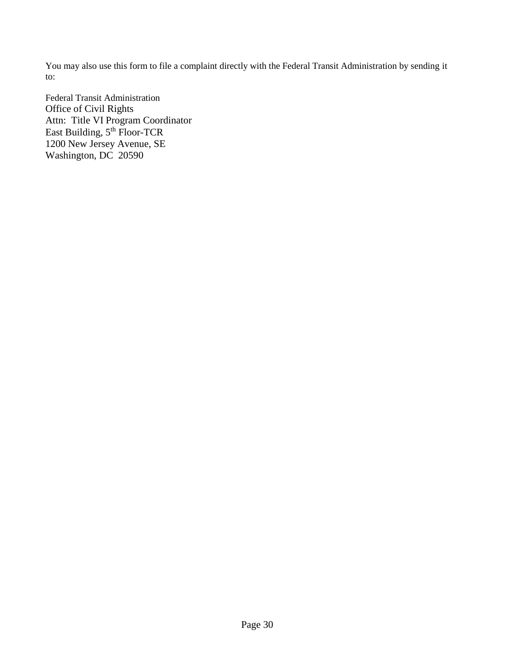You may also use this form to file a complaint directly with the Federal Transit Administration by sending it to:

Federal Transit Administration Office of Civil Rights Attn: Title VI Program Coordinator East Building, 5<sup>th</sup> Floor-TCR 1200 New Jersey Avenue, SE Washington, DC 20590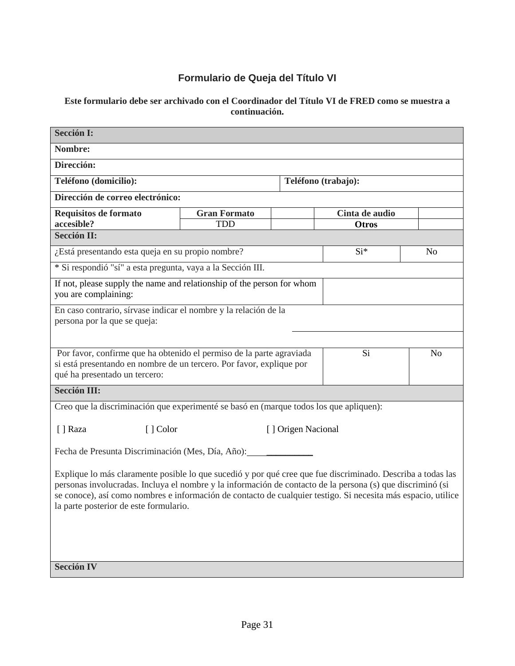# **Formulario de Queja del Título VI**

#### **Este formulario debe ser archivado con el Coordinador del Título VI de FRED como se muestra a continuación.**

| <b>Sección I:</b>                                                                                                                                                                                                                                                                                                                                                                    |                     |                    |                     |                |  |  |  |
|--------------------------------------------------------------------------------------------------------------------------------------------------------------------------------------------------------------------------------------------------------------------------------------------------------------------------------------------------------------------------------------|---------------------|--------------------|---------------------|----------------|--|--|--|
| Nombre:                                                                                                                                                                                                                                                                                                                                                                              |                     |                    |                     |                |  |  |  |
| Dirección:                                                                                                                                                                                                                                                                                                                                                                           |                     |                    |                     |                |  |  |  |
| Teléfono (domicilio):                                                                                                                                                                                                                                                                                                                                                                |                     |                    | Teléfono (trabajo): |                |  |  |  |
| Dirección de correo electrónico:                                                                                                                                                                                                                                                                                                                                                     |                     |                    |                     |                |  |  |  |
| Requisitos de formato                                                                                                                                                                                                                                                                                                                                                                | <b>Gran Formato</b> |                    | Cinta de audio      |                |  |  |  |
| accesible?<br><b>Sección II:</b>                                                                                                                                                                                                                                                                                                                                                     | <b>TDD</b>          |                    | <b>Otros</b>        |                |  |  |  |
|                                                                                                                                                                                                                                                                                                                                                                                      |                     |                    |                     |                |  |  |  |
| ¿Está presentando esta queja en su propio nombre?                                                                                                                                                                                                                                                                                                                                    |                     |                    | Si*                 | N <sub>0</sub> |  |  |  |
| * Si respondió "sí" a esta pregunta, vaya a la Sección III.                                                                                                                                                                                                                                                                                                                          |                     |                    |                     |                |  |  |  |
| If not, please supply the name and relationship of the person for whom<br>you are complaining:                                                                                                                                                                                                                                                                                       |                     |                    |                     |                |  |  |  |
| En caso contrario, sírvase indicar el nombre y la relación de la<br>persona por la que se queja:                                                                                                                                                                                                                                                                                     |                     |                    |                     |                |  |  |  |
|                                                                                                                                                                                                                                                                                                                                                                                      |                     |                    |                     |                |  |  |  |
|                                                                                                                                                                                                                                                                                                                                                                                      |                     |                    |                     |                |  |  |  |
| Por favor, confirme que ha obtenido el permiso de la parte agraviada<br>si está presentando en nombre de un tercero. Por favor, explique por<br>qué ha presentado un tercero:                                                                                                                                                                                                        |                     |                    | Si                  | N <sub>o</sub> |  |  |  |
| <b>Sección III:</b>                                                                                                                                                                                                                                                                                                                                                                  |                     |                    |                     |                |  |  |  |
| Creo que la discriminación que experimenté se basó en (marque todos los que apliquen):                                                                                                                                                                                                                                                                                               |                     |                    |                     |                |  |  |  |
| [] Color<br>[ ] Raza                                                                                                                                                                                                                                                                                                                                                                 |                     | [] Origen Nacional |                     |                |  |  |  |
|                                                                                                                                                                                                                                                                                                                                                                                      |                     |                    |                     |                |  |  |  |
| Fecha de Presunta Discriminación (Mes, Día, Año):                                                                                                                                                                                                                                                                                                                                    |                     |                    |                     |                |  |  |  |
| Explique lo más claramente posible lo que sucedió y por qué cree que fue discriminado. Describa a todas las<br>personas involucradas. Incluya el nombre y la información de contacto de la persona (s) que discriminó (si<br>se conoce), así como nombres e información de contacto de cualquier testigo. Si necesita más espacio, utilice<br>la parte posterior de este formulario. |                     |                    |                     |                |  |  |  |
| <b>Sección IV</b>                                                                                                                                                                                                                                                                                                                                                                    |                     |                    |                     |                |  |  |  |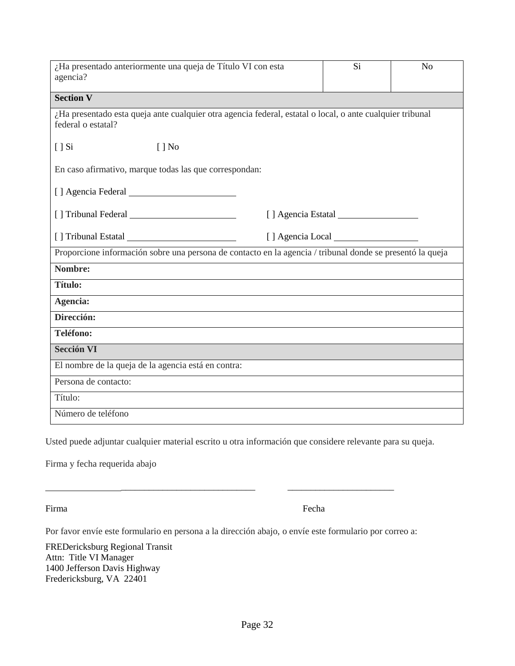| ¿Ha presentado anteriormente una queja de Título VI con esta<br>agencia?                                                        | Si                 | N <sub>o</sub> |
|---------------------------------------------------------------------------------------------------------------------------------|--------------------|----------------|
| <b>Section V</b>                                                                                                                |                    |                |
| ¿Ha presentado esta queja ante cualquier otra agencia federal, estatal o local, o ante cualquier tribunal<br>federal o estatal? |                    |                |
| [ ] Si<br>$\lceil \cdot \rceil$ No                                                                                              |                    |                |
| En caso afirmativo, marque todas las que correspondan:                                                                          |                    |                |
|                                                                                                                                 |                    |                |
|                                                                                                                                 | [] Agencia Estatal |                |
|                                                                                                                                 |                    |                |
| Proporcione información sobre una persona de contacto en la agencia / tribunal donde se presentó la queja                       |                    |                |
| Nombre:                                                                                                                         |                    |                |
| <b>Título:</b>                                                                                                                  |                    |                |
| Agencia:                                                                                                                        |                    |                |
| Dirección:                                                                                                                      |                    |                |
| Teléfono:                                                                                                                       |                    |                |
| <b>Sección VI</b>                                                                                                               |                    |                |
| El nombre de la queja de la agencia está en contra:                                                                             |                    |                |
| Persona de contacto:                                                                                                            |                    |                |
| Título:                                                                                                                         |                    |                |
| Número de teléfono                                                                                                              |                    |                |

Usted puede adjuntar cualquier material escrito u otra información que considere relevante para su queja.

\_\_\_\_\_\_\_\_\_\_\_\_\_\_\_\_\_\_\_\_\_\_\_\_\_\_\_\_\_ \_\_\_\_\_\_\_\_\_\_\_\_\_\_\_\_\_\_\_\_\_\_\_

Firma y fecha requerida abajo

Firma Fecha

Por favor envíe este formulario en persona a la dirección abajo, o envíe este formulario por correo a:

FREDericksburg Regional Transit Attn: Title VI Manager 1400 Jefferson Davis Highway Fredericksburg, VA 22401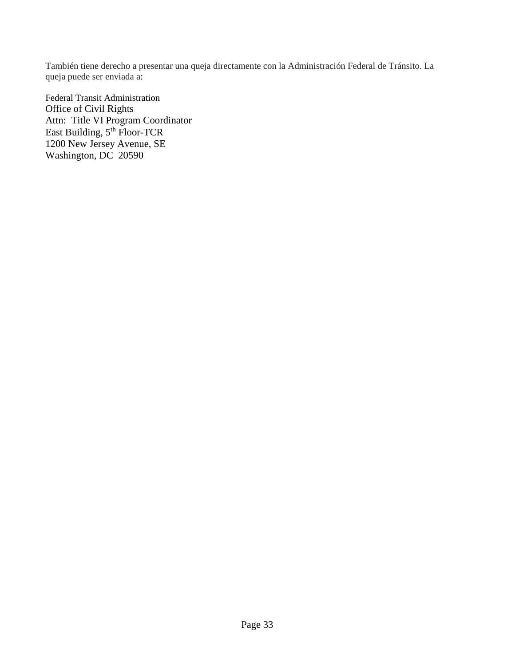También tiene derecho a presentar una queja directamente con la Administración Federal de Tránsito. La queja puede ser enviada a:

Federal Transit Administration Office of Civil Rights Attn: Title VI Program Coordinator East Building, 5<sup>th</sup> Floor-TCR 1200 New Jersey Avenue, SE Washington, DC 20590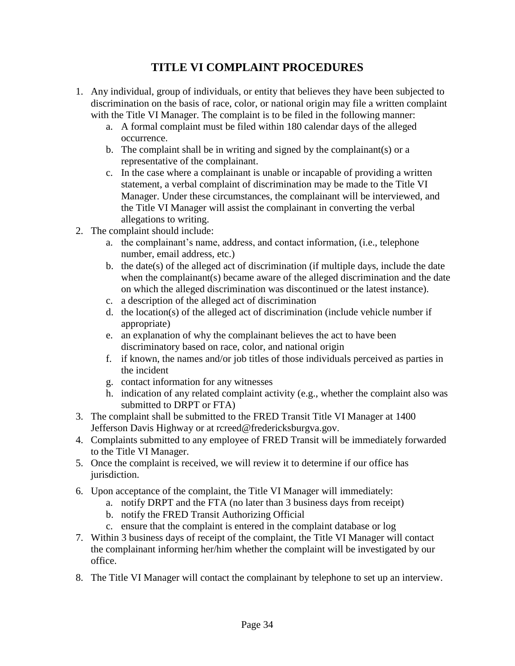# **TITLE VI COMPLAINT PROCEDURES**

- 1. Any individual, group of individuals, or entity that believes they have been subjected to discrimination on the basis of race, color, or national origin may file a written complaint with the Title VI Manager. The complaint is to be filed in the following manner:
	- a. A formal complaint must be filed within 180 calendar days of the alleged occurrence.
	- b. The complaint shall be in writing and signed by the complainant(s) or a representative of the complainant.
	- c. In the case where a complainant is unable or incapable of providing a written statement, a verbal complaint of discrimination may be made to the Title VI Manager. Under these circumstances, the complainant will be interviewed, and the Title VI Manager will assist the complainant in converting the verbal allegations to writing.
- 2. The complaint should include:
	- a. the complainant's name, address, and contact information, (i.e., telephone number, email address, etc.)
	- b. the date(s) of the alleged act of discrimination (if multiple days, include the date when the complainant(s) became aware of the alleged discrimination and the date on which the alleged discrimination was discontinued or the latest instance).
	- c. a description of the alleged act of discrimination
	- d. the location(s) of the alleged act of discrimination (include vehicle number if appropriate)
	- e. an explanation of why the complainant believes the act to have been discriminatory based on race, color, and national origin
	- f. if known, the names and/or job titles of those individuals perceived as parties in the incident
	- g. contact information for any witnesses
	- h. indication of any related complaint activity (e.g., whether the complaint also was submitted to DRPT or FTA)
- 3. The complaint shall be submitted to the FRED Transit Title VI Manager at 1400 Jefferson Davis Highway or at rcreed@fredericksburgva.gov.
- 4. Complaints submitted to any employee of FRED Transit will be immediately forwarded to the Title VI Manager.
- 5. Once the complaint is received, we will review it to determine if our office has jurisdiction.
- 6. Upon acceptance of the complaint, the Title VI Manager will immediately:
	- a. notify DRPT and the FTA (no later than 3 business days from receipt)
	- b. notify the FRED Transit Authorizing Official
	- c. ensure that the complaint is entered in the complaint database or log
- 7. Within 3 business days of receipt of the complaint, the Title VI Manager will contact the complainant informing her/him whether the complaint will be investigated by our office.
- 8. The Title VI Manager will contact the complainant by telephone to set up an interview.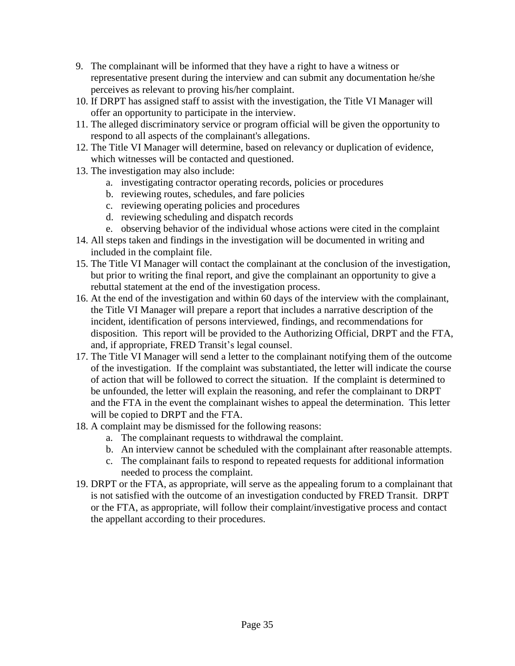- 9. The complainant will be informed that they have a right to have a witness or representative present during the interview and can submit any documentation he/she perceives as relevant to proving his/her complaint.
- 10. If DRPT has assigned staff to assist with the investigation, the Title VI Manager will offer an opportunity to participate in the interview.
- 11. The alleged discriminatory service or program official will be given the opportunity to respond to all aspects of the complainant's allegations.
- 12. The Title VI Manager will determine, based on relevancy or duplication of evidence, which witnesses will be contacted and questioned.
- 13. The investigation may also include:
	- a. investigating contractor operating records, policies or procedures
	- b. reviewing routes, schedules, and fare policies
	- c. reviewing operating policies and procedures
	- d. reviewing scheduling and dispatch records
	- e. observing behavior of the individual whose actions were cited in the complaint
- 14. All steps taken and findings in the investigation will be documented in writing and included in the complaint file.
- 15. The Title VI Manager will contact the complainant at the conclusion of the investigation, but prior to writing the final report, and give the complainant an opportunity to give a rebuttal statement at the end of the investigation process.
- 16. At the end of the investigation and within 60 days of the interview with the complainant, the Title VI Manager will prepare a report that includes a narrative description of the incident, identification of persons interviewed, findings, and recommendations for disposition. This report will be provided to the Authorizing Official, DRPT and the FTA, and, if appropriate, FRED Transit's legal counsel.
- 17. The Title VI Manager will send a letter to the complainant notifying them of the outcome of the investigation. If the complaint was substantiated, the letter will indicate the course of action that will be followed to correct the situation. If the complaint is determined to be unfounded, the letter will explain the reasoning, and refer the complainant to DRPT and the FTA in the event the complainant wishes to appeal the determination. This letter will be copied to DRPT and the FTA.
- 18. A complaint may be dismissed for the following reasons:
	- a. The complainant requests to withdrawal the complaint.
	- b. An interview cannot be scheduled with the complainant after reasonable attempts.
	- c. The complainant fails to respond to repeated requests for additional information needed to process the complaint.
- 19. DRPT or the FTA, as appropriate, will serve as the appealing forum to a complainant that is not satisfied with the outcome of an investigation conducted by FRED Transit. DRPT or the FTA, as appropriate, will follow their complaint/investigative process and contact the appellant according to their procedures.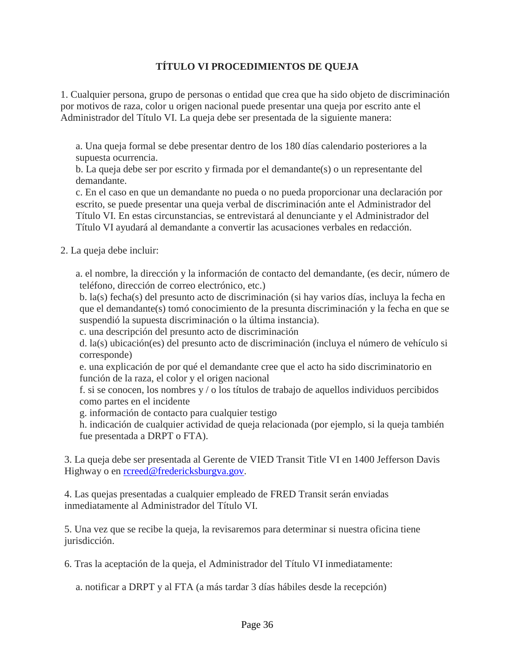## **TÍTULO VI PROCEDIMIENTOS DE QUEJA**

1. Cualquier persona, grupo de personas o entidad que crea que ha sido objeto de discriminación por motivos de raza, color u origen nacional puede presentar una queja por escrito ante el Administrador del Título VI. La queja debe ser presentada de la siguiente manera:

a. Una queja formal se debe presentar dentro de los 180 días calendario posteriores a la supuesta ocurrencia.

b. La queja debe ser por escrito y firmada por el demandante(s) o un representante del demandante.

c. En el caso en que un demandante no pueda o no pueda proporcionar una declaración por escrito, se puede presentar una queja verbal de discriminación ante el Administrador del Título VI. En estas circunstancias, se entrevistará al denunciante y el Administrador del Título VI ayudará al demandante a convertir las acusaciones verbales en redacción.

2. La queja debe incluir:

 a. el nombre, la dirección y la información de contacto del demandante, (es decir, número de teléfono, dirección de correo electrónico, etc.)

b. la(s) fecha(s) del presunto acto de discriminación (si hay varios días, incluya la fecha en que el demandante(s) tomó conocimiento de la presunta discriminación y la fecha en que se suspendió la supuesta discriminación o la última instancia).

c. una descripción del presunto acto de discriminación

d. la(s) ubicación(es) del presunto acto de discriminación (incluya el número de vehículo si corresponde)

e. una explicación de por qué el demandante cree que el acto ha sido discriminatorio en función de la raza, el color y el origen nacional

f. si se conocen, los nombres y / o los títulos de trabajo de aquellos individuos percibidos como partes en el incidente

g. información de contacto para cualquier testigo

h. indicación de cualquier actividad de queja relacionada (por ejemplo, si la queja también fue presentada a DRPT o FTA).

3. La queja debe ser presentada al Gerente de VIED Transit Title VI en 1400 Jefferson Davis Highway o en [rcreed@fredericksburgva.gov.](mailto:rcreed@fredericksburgva.gov)

4. Las quejas presentadas a cualquier empleado de FRED Transit serán enviadas inmediatamente al Administrador del Título VI.

5. Una vez que se recibe la queja, la revisaremos para determinar si nuestra oficina tiene jurisdicción.

6. Tras la aceptación de la queja, el Administrador del Título VI inmediatamente:

a. notificar a DRPT y al FTA (a más tardar 3 días hábiles desde la recepción)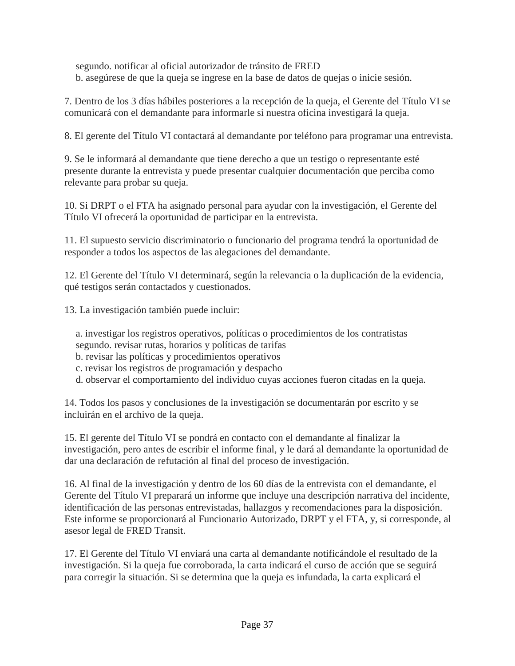segundo. notificar al oficial autorizador de tránsito de FRED b. asegúrese de que la queja se ingrese en la base de datos de quejas o inicie sesión.

7. Dentro de los 3 días hábiles posteriores a la recepción de la queja, el Gerente del Título VI se comunicará con el demandante para informarle si nuestra oficina investigará la queja.

8. El gerente del Título VI contactará al demandante por teléfono para programar una entrevista.

9. Se le informará al demandante que tiene derecho a que un testigo o representante esté presente durante la entrevista y puede presentar cualquier documentación que perciba como relevante para probar su queja.

10. Si DRPT o el FTA ha asignado personal para ayudar con la investigación, el Gerente del Título VI ofrecerá la oportunidad de participar en la entrevista.

11. El supuesto servicio discriminatorio o funcionario del programa tendrá la oportunidad de responder a todos los aspectos de las alegaciones del demandante.

12. El Gerente del Título VI determinará, según la relevancia o la duplicación de la evidencia, qué testigos serán contactados y cuestionados.

13. La investigación también puede incluir:

a. investigar los registros operativos, políticas o procedimientos de los contratistas segundo. revisar rutas, horarios y políticas de tarifas

b. revisar las políticas y procedimientos operativos

c. revisar los registros de programación y despacho

d. observar el comportamiento del individuo cuyas acciones fueron citadas en la queja.

14. Todos los pasos y conclusiones de la investigación se documentarán por escrito y se incluirán en el archivo de la queja.

15. El gerente del Título VI se pondrá en contacto con el demandante al finalizar la investigación, pero antes de escribir el informe final, y le dará al demandante la oportunidad de dar una declaración de refutación al final del proceso de investigación.

16. Al final de la investigación y dentro de los 60 días de la entrevista con el demandante, el Gerente del Título VI preparará un informe que incluye una descripción narrativa del incidente, identificación de las personas entrevistadas, hallazgos y recomendaciones para la disposición. Este informe se proporcionará al Funcionario Autorizado, DRPT y el FTA, y, si corresponde, al asesor legal de FRED Transit.

17. El Gerente del Título VI enviará una carta al demandante notificándole el resultado de la investigación. Si la queja fue corroborada, la carta indicará el curso de acción que se seguirá para corregir la situación. Si se determina que la queja es infundada, la carta explicará el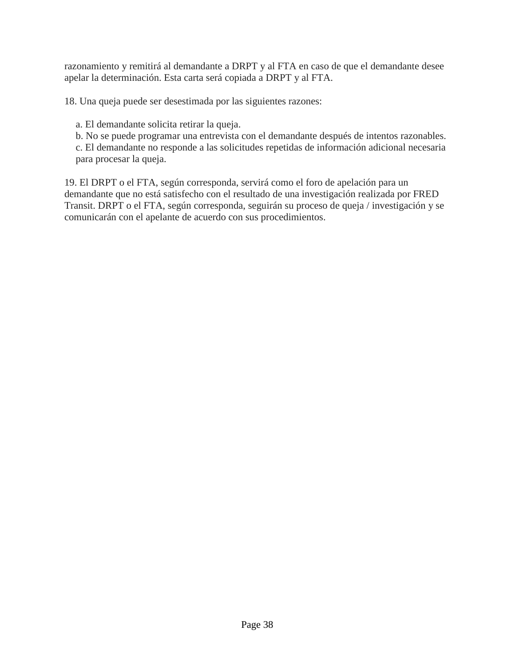razonamiento y remitirá al demandante a DRPT y al FTA en caso de que el demandante desee apelar la determinación. Esta carta será copiada a DRPT y al FTA.

18. Una queja puede ser desestimada por las siguientes razones:

a. El demandante solicita retirar la queja.

b. No se puede programar una entrevista con el demandante después de intentos razonables.

c. El demandante no responde a las solicitudes repetidas de información adicional necesaria para procesar la queja.

19. El DRPT o el FTA, según corresponda, servirá como el foro de apelación para un demandante que no está satisfecho con el resultado de una investigación realizada por FRED Transit. DRPT o el FTA, según corresponda, seguirán su proceso de queja / investigación y se comunicarán con el apelante de acuerdo con sus procedimientos.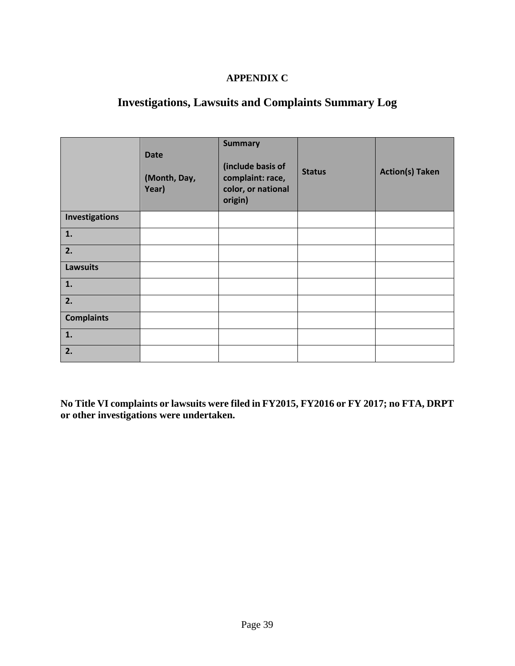## **APPENDIX C**

# **Investigations, Lawsuits and Complaints Summary Log**

|                   | <b>Date</b><br>(Month, Day,<br>Year) | <b>Summary</b><br>(include basis of<br>complaint: race,<br>color, or national<br>origin) | <b>Status</b> | <b>Action(s) Taken</b> |
|-------------------|--------------------------------------|------------------------------------------------------------------------------------------|---------------|------------------------|
| Investigations    |                                      |                                                                                          |               |                        |
| 1.                |                                      |                                                                                          |               |                        |
| 2.                |                                      |                                                                                          |               |                        |
| <b>Lawsuits</b>   |                                      |                                                                                          |               |                        |
| 1.                |                                      |                                                                                          |               |                        |
| 2.                |                                      |                                                                                          |               |                        |
| <b>Complaints</b> |                                      |                                                                                          |               |                        |
| 1.                |                                      |                                                                                          |               |                        |
| 2.                |                                      |                                                                                          |               |                        |

**No Title VI complaints or lawsuits were filed in FY2015, FY2016 or FY 2017; no FTA, DRPT or other investigations were undertaken.**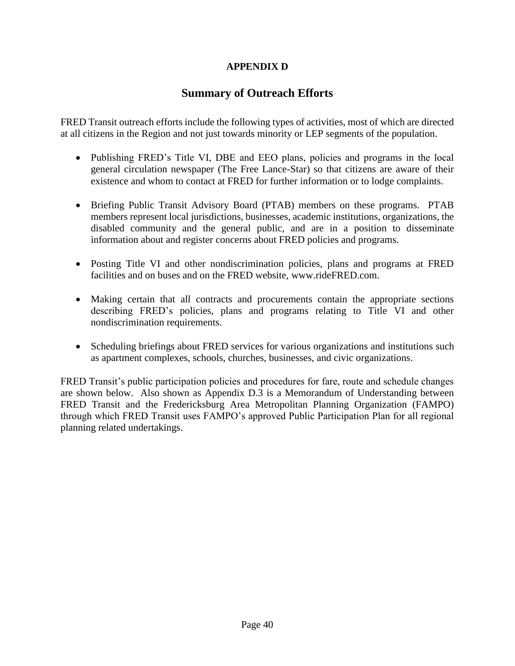## **APPENDIX D**

## **Summary of Outreach Efforts**

FRED Transit outreach efforts include the following types of activities, most of which are directed at all citizens in the Region and not just towards minority or LEP segments of the population.

- Publishing FRED's Title VI, DBE and EEO plans, policies and programs in the local general circulation newspaper (The Free Lance-Star) so that citizens are aware of their existence and whom to contact at FRED for further information or to lodge complaints.
- Briefing Public Transit Advisory Board (PTAB) members on these programs. PTAB members represent local jurisdictions, businesses, academic institutions, organizations, the disabled community and the general public, and are in a position to disseminate information about and register concerns about FRED policies and programs.
- Posting Title VI and other nondiscrimination policies, plans and programs at FRED facilities and on buses and on the FRED website, www.rideFRED.com.
- Making certain that all contracts and procurements contain the appropriate sections describing FRED's policies, plans and programs relating to Title VI and other nondiscrimination requirements.
- Scheduling briefings about FRED services for various organizations and institutions such as apartment complexes, schools, churches, businesses, and civic organizations.

FRED Transit's public participation policies and procedures for fare, route and schedule changes are shown below. Also shown as Appendix D.3 is a Memorandum of Understanding between FRED Transit and the Fredericksburg Area Metropolitan Planning Organization (FAMPO) through which FRED Transit uses FAMPO's approved Public Participation Plan for all regional planning related undertakings.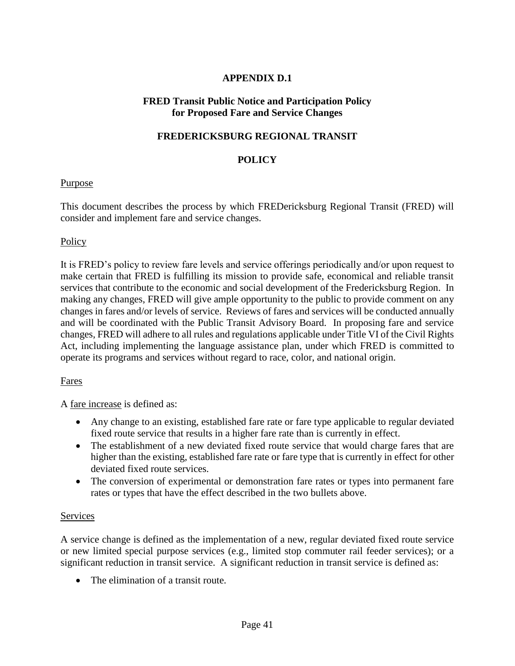## **APPENDIX D.1**

## **FRED Transit Public Notice and Participation Policy for Proposed Fare and Service Changes**

## **FREDERICKSBURG REGIONAL TRANSIT**

## **POLICY**

#### Purpose

This document describes the process by which FREDericksburg Regional Transit (FRED) will consider and implement fare and service changes.

## **Policy**

It is FRED's policy to review fare levels and service offerings periodically and/or upon request to make certain that FRED is fulfilling its mission to provide safe, economical and reliable transit services that contribute to the economic and social development of the Fredericksburg Region. In making any changes, FRED will give ample opportunity to the public to provide comment on any changes in fares and/or levels of service. Reviews of fares and services will be conducted annually and will be coordinated with the Public Transit Advisory Board. In proposing fare and service changes, FRED will adhere to all rules and regulations applicable under Title VI of the Civil Rights Act, including implementing the language assistance plan, under which FRED is committed to operate its programs and services without regard to race, color, and national origin.

#### Fares

A fare increase is defined as:

- Any change to an existing, established fare rate or fare type applicable to regular deviated fixed route service that results in a higher fare rate than is currently in effect.
- The establishment of a new deviated fixed route service that would charge fares that are higher than the existing, established fare rate or fare type that is currently in effect for other deviated fixed route services.
- The conversion of experimental or demonstration fare rates or types into permanent fare rates or types that have the effect described in the two bullets above.

#### Services

A service change is defined as the implementation of a new, regular deviated fixed route service or new limited special purpose services (e.g., limited stop commuter rail feeder services); or a significant reduction in transit service. A significant reduction in transit service is defined as:

The elimination of a transit route.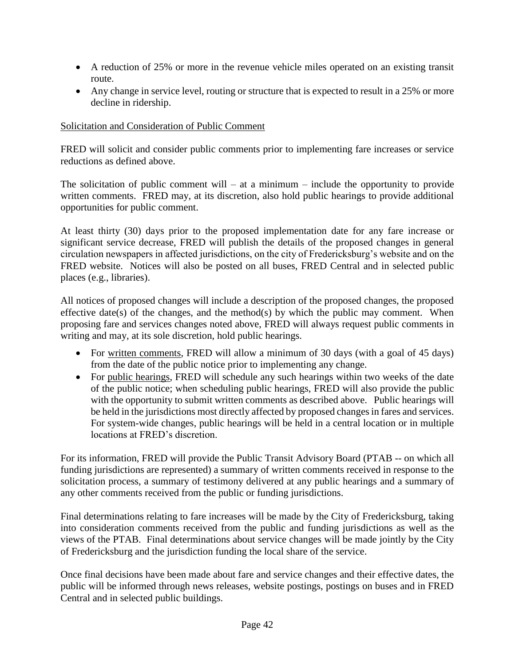- A reduction of 25% or more in the revenue vehicle miles operated on an existing transit route.
- Any change in service level, routing or structure that is expected to result in a 25% or more decline in ridership.

## Solicitation and Consideration of Public Comment

FRED will solicit and consider public comments prior to implementing fare increases or service reductions as defined above.

The solicitation of public comment will – at a minimum – include the opportunity to provide written comments. FRED may, at its discretion, also hold public hearings to provide additional opportunities for public comment.

At least thirty (30) days prior to the proposed implementation date for any fare increase or significant service decrease, FRED will publish the details of the proposed changes in general circulation newspapers in affected jurisdictions, on the city of Fredericksburg's website and on the FRED website. Notices will also be posted on all buses, FRED Central and in selected public places (e.g., libraries).

All notices of proposed changes will include a description of the proposed changes, the proposed effective date(s) of the changes, and the method(s) by which the public may comment. When proposing fare and services changes noted above, FRED will always request public comments in writing and may, at its sole discretion, hold public hearings.

- For written comments, FRED will allow a minimum of 30 days (with a goal of 45 days) from the date of the public notice prior to implementing any change.
- For public hearings, FRED will schedule any such hearings within two weeks of the date of the public notice; when scheduling public hearings, FRED will also provide the public with the opportunity to submit written comments as described above. Public hearings will be held in the jurisdictions most directly affected by proposed changes in fares and services. For system-wide changes, public hearings will be held in a central location or in multiple locations at FRED's discretion.

For its information, FRED will provide the Public Transit Advisory Board (PTAB -- on which all funding jurisdictions are represented) a summary of written comments received in response to the solicitation process, a summary of testimony delivered at any public hearings and a summary of any other comments received from the public or funding jurisdictions.

Final determinations relating to fare increases will be made by the City of Fredericksburg, taking into consideration comments received from the public and funding jurisdictions as well as the views of the PTAB. Final determinations about service changes will be made jointly by the City of Fredericksburg and the jurisdiction funding the local share of the service.

Once final decisions have been made about fare and service changes and their effective dates, the public will be informed through news releases, website postings, postings on buses and in FRED Central and in selected public buildings.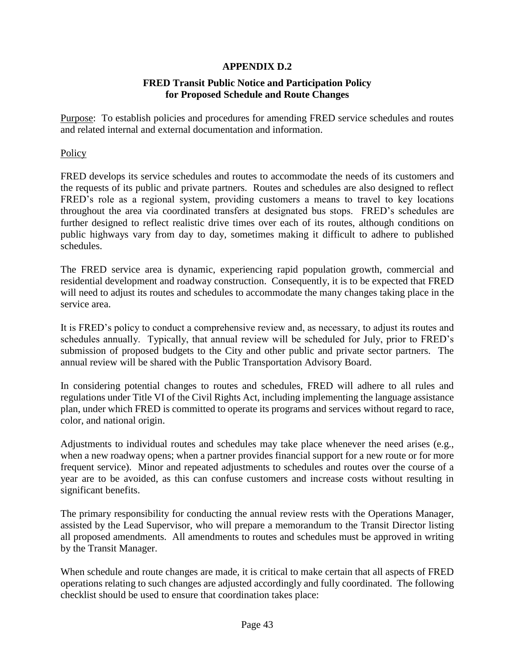## **APPENDIX D.2**

## **FRED Transit Public Notice and Participation Policy for Proposed Schedule and Route Changes**

Purpose: To establish policies and procedures for amending FRED service schedules and routes and related internal and external documentation and information.

**Policy** 

FRED develops its service schedules and routes to accommodate the needs of its customers and the requests of its public and private partners. Routes and schedules are also designed to reflect FRED's role as a regional system, providing customers a means to travel to key locations throughout the area via coordinated transfers at designated bus stops. FRED's schedules are further designed to reflect realistic drive times over each of its routes, although conditions on public highways vary from day to day, sometimes making it difficult to adhere to published schedules.

The FRED service area is dynamic, experiencing rapid population growth, commercial and residential development and roadway construction. Consequently, it is to be expected that FRED will need to adjust its routes and schedules to accommodate the many changes taking place in the service area.

It is FRED's policy to conduct a comprehensive review and, as necessary, to adjust its routes and schedules annually. Typically, that annual review will be scheduled for July, prior to FRED's submission of proposed budgets to the City and other public and private sector partners. The annual review will be shared with the Public Transportation Advisory Board.

In considering potential changes to routes and schedules, FRED will adhere to all rules and regulations under Title VI of the Civil Rights Act, including implementing the language assistance plan, under which FRED is committed to operate its programs and services without regard to race, color, and national origin.

Adjustments to individual routes and schedules may take place whenever the need arises (e.g., when a new roadway opens; when a partner provides financial support for a new route or for more frequent service). Minor and repeated adjustments to schedules and routes over the course of a year are to be avoided, as this can confuse customers and increase costs without resulting in significant benefits.

The primary responsibility for conducting the annual review rests with the Operations Manager, assisted by the Lead Supervisor, who will prepare a memorandum to the Transit Director listing all proposed amendments. All amendments to routes and schedules must be approved in writing by the Transit Manager.

When schedule and route changes are made, it is critical to make certain that all aspects of FRED operations relating to such changes are adjusted accordingly and fully coordinated. The following checklist should be used to ensure that coordination takes place: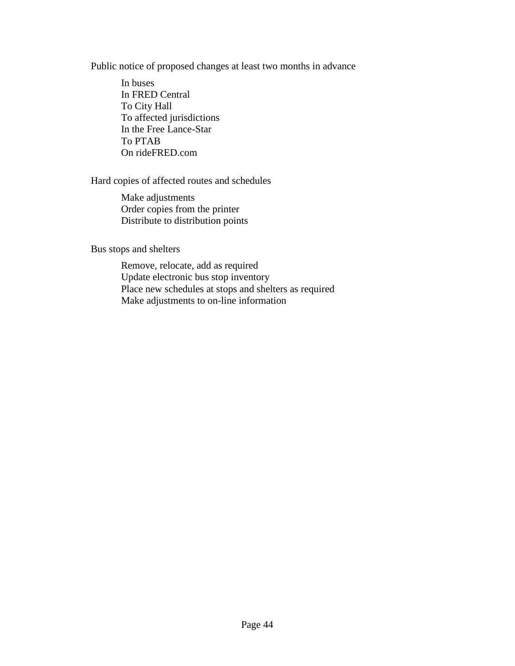Public notice of proposed changes at least two months in advance

In buses In FRED Central To City Hall To affected jurisdictions In the Free Lance-Star To PTAB On rideFRED.com

## Hard copies of affected routes and schedules

Make adjustments Order copies from the printer Distribute to distribution points

Bus stops and shelters

Remove, relocate, add as required Update electronic bus stop inventory Place new schedules at stops and shelters as required Make adjustments to on-line information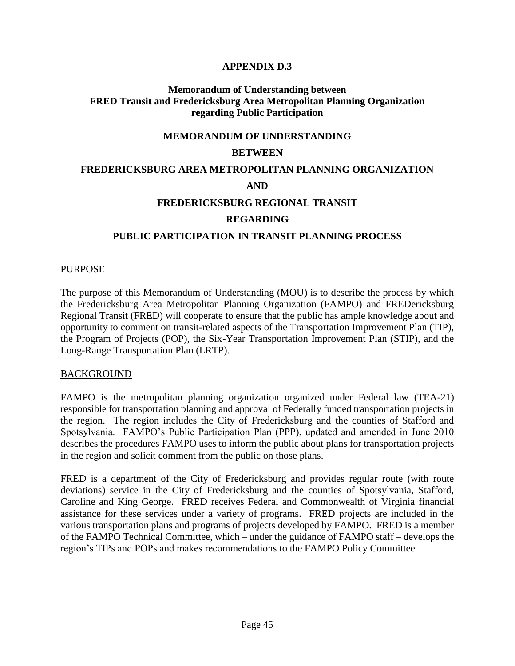## **APPENDIX D.3**

#### **Memorandum of Understanding between FRED Transit and Fredericksburg Area Metropolitan Planning Organization regarding Public Participation**

#### **MEMORANDUM OF UNDERSTANDING**

#### **BETWEEN**

# **FREDERICKSBURG AREA METROPOLITAN PLANNING ORGANIZATION AND FREDERICKSBURG REGIONAL TRANSIT**

#### **REGARDING**

## **PUBLIC PARTICIPATION IN TRANSIT PLANNING PROCESS**

#### PURPOSE

The purpose of this Memorandum of Understanding (MOU) is to describe the process by which the Fredericksburg Area Metropolitan Planning Organization (FAMPO) and FREDericksburg Regional Transit (FRED) will cooperate to ensure that the public has ample knowledge about and opportunity to comment on transit-related aspects of the Transportation Improvement Plan (TIP), the Program of Projects (POP), the Six-Year Transportation Improvement Plan (STIP), and the Long-Range Transportation Plan (LRTP).

#### BACKGROUND

FAMPO is the metropolitan planning organization organized under Federal law (TEA-21) responsible for transportation planning and approval of Federally funded transportation projects in the region. The region includes the City of Fredericksburg and the counties of Stafford and Spotsylvania. FAMPO's Public Participation Plan (PPP), updated and amended in June 2010 describes the procedures FAMPO uses to inform the public about plans for transportation projects in the region and solicit comment from the public on those plans.

FRED is a department of the City of Fredericksburg and provides regular route (with route deviations) service in the City of Fredericksburg and the counties of Spotsylvania, Stafford, Caroline and King George. FRED receives Federal and Commonwealth of Virginia financial assistance for these services under a variety of programs. FRED projects are included in the various transportation plans and programs of projects developed by FAMPO. FRED is a member of the FAMPO Technical Committee, which – under the guidance of FAMPO staff – develops the region's TIPs and POPs and makes recommendations to the FAMPO Policy Committee.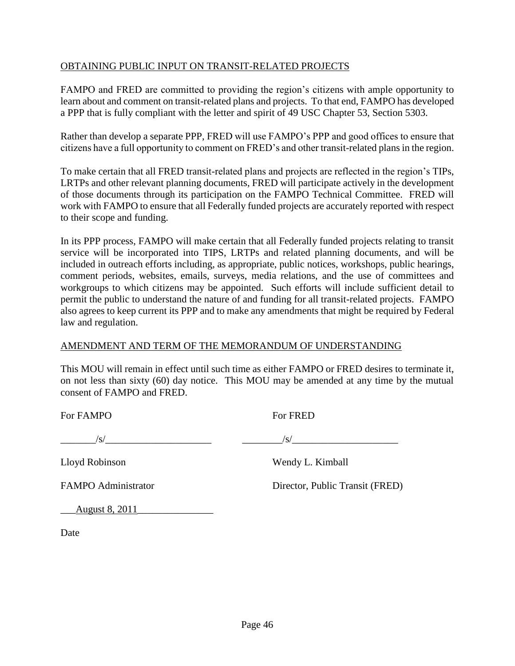## OBTAINING PUBLIC INPUT ON TRANSIT-RELATED PROJECTS

FAMPO and FRED are committed to providing the region's citizens with ample opportunity to learn about and comment on transit-related plans and projects. To that end, FAMPO has developed a PPP that is fully compliant with the letter and spirit of 49 USC Chapter 53, Section 5303.

Rather than develop a separate PPP, FRED will use FAMPO's PPP and good offices to ensure that citizens have a full opportunity to comment on FRED's and other transit-related plans in the region.

To make certain that all FRED transit-related plans and projects are reflected in the region's TIPs, LRTPs and other relevant planning documents, FRED will participate actively in the development of those documents through its participation on the FAMPO Technical Committee. FRED will work with FAMPO to ensure that all Federally funded projects are accurately reported with respect to their scope and funding.

In its PPP process, FAMPO will make certain that all Federally funded projects relating to transit service will be incorporated into TIPS, LRTPs and related planning documents, and will be included in outreach efforts including, as appropriate, public notices, workshops, public hearings, comment periods, websites, emails, surveys, media relations, and the use of committees and workgroups to which citizens may be appointed. Such efforts will include sufficient detail to permit the public to understand the nature of and funding for all transit-related projects. FAMPO also agrees to keep current its PPP and to make any amendments that might be required by Federal law and regulation.

#### AMENDMENT AND TERM OF THE MEMORANDUM OF UNDERSTANDING

This MOU will remain in effect until such time as either FAMPO or FRED desires to terminate it, on not less than sixty (60) day notice. This MOU may be amended at any time by the mutual consent of FAMPO and FRED.

For FAMPO For FRED

\_\_\_\_\_\_\_/s/\_\_\_\_\_\_\_\_\_\_\_\_\_\_\_\_\_\_\_\_\_ \_\_\_\_\_\_\_\_/s/\_\_\_\_\_\_\_\_\_\_\_\_\_\_\_\_\_\_\_\_\_

Lloyd Robinson Wendy L. Kimball

FAMPO Administrator Director, Public Transit (FRED)

\_\_\_August 8, 2011\_\_\_\_\_\_\_\_\_\_\_\_\_\_\_

Date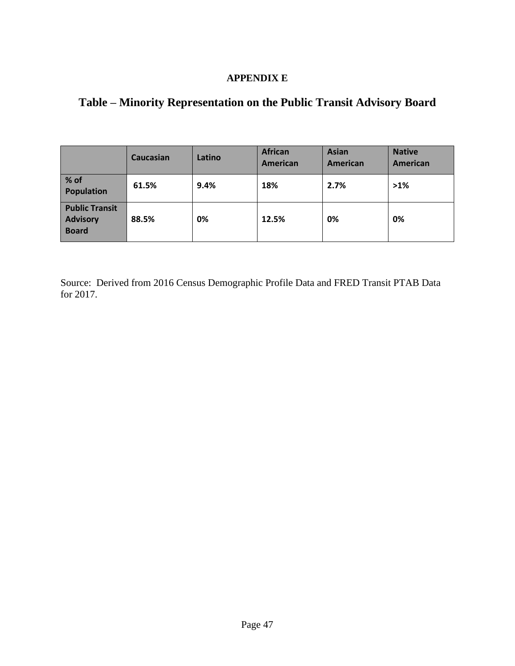## **APPENDIX E**

# **Table – Minority Representation on the Public Transit Advisory Board**

|                                                          | Caucasian | Latino | <b>African</b><br>American | <b>Asian</b><br>American | <b>Native</b><br>American |
|----------------------------------------------------------|-----------|--------|----------------------------|--------------------------|---------------------------|
| % of<br><b>Population</b>                                | 61.5%     | 9.4%   | 18%                        | 2.7%                     | $>1\%$                    |
| <b>Public Transit</b><br><b>Advisory</b><br><b>Board</b> | 88.5%     | 0%     | 12.5%                      | 0%                       | 0%                        |

Source: Derived from 2016 Census Demographic Profile Data and FRED Transit PTAB Data for 2017.